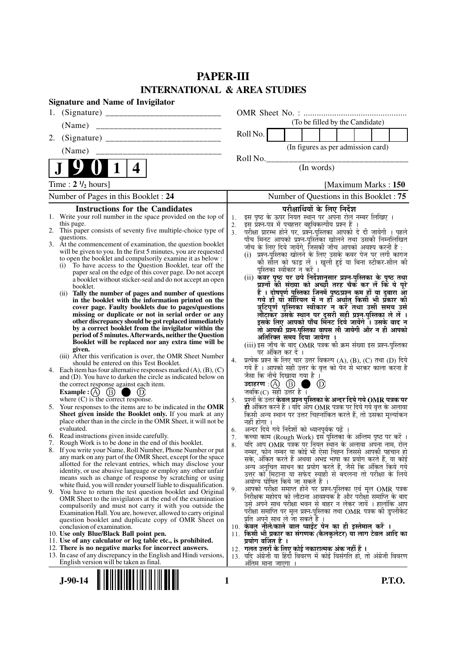# **PAPER-III INTERNATIONAL & AREA STUDIES**

|                                      | <b>Signature and Name of Invigilator</b>                                                                                     |                |                                                                                                                                   |                   |                                                                                                              |                      |  |  |
|--------------------------------------|------------------------------------------------------------------------------------------------------------------------------|----------------|-----------------------------------------------------------------------------------------------------------------------------------|-------------------|--------------------------------------------------------------------------------------------------------------|----------------------|--|--|
| 1.                                   |                                                                                                                              |                |                                                                                                                                   |                   |                                                                                                              |                      |  |  |
|                                      |                                                                                                                              |                |                                                                                                                                   |                   | (To be filled by the Candidate)                                                                              |                      |  |  |
| 2.                                   |                                                                                                                              |                | Roll No.                                                                                                                          |                   |                                                                                                              |                      |  |  |
|                                      | (Name)                                                                                                                       |                |                                                                                                                                   |                   | (In figures as per admission card)                                                                           |                      |  |  |
|                                      |                                                                                                                              |                | Roll No.                                                                                                                          |                   |                                                                                                              |                      |  |  |
|                                      | 1<br>$\overline{\mathbf{4}}$                                                                                                 |                |                                                                                                                                   |                   | (In words)                                                                                                   |                      |  |  |
|                                      | Time: $2 \frac{1}{2}$ hours]                                                                                                 |                |                                                                                                                                   |                   |                                                                                                              | [Maximum Marks: 150] |  |  |
| Number of Pages in this Booklet : 24 |                                                                                                                              |                |                                                                                                                                   |                   | Number of Questions in this Booklet: 75                                                                      |                      |  |  |
|                                      | <b>Instructions for the Candidates</b>                                                                                       |                |                                                                                                                                   |                   | परीक्षार्थियों के लिए निर्देश                                                                                |                      |  |  |
|                                      | 1. Write your roll number in the space provided on the top of<br>this page.                                                  | 1.<br>2.       | इस पृष्ठ के ऊपर नियत स्थान पर अपना रोल नम्बर लिखिए ।<br>इस प्रश्न-पत्र में पचहत्तर बहुविकल्पीय प्रश्न हैं                         |                   |                                                                                                              |                      |  |  |
|                                      | 2. This paper consists of seventy five multiple-choice type of                                                               | 3 <sub>1</sub> | परीक्षा प्रारम्भ होने पर, प्रश्नॅं-पुस्तिका आपको दे दी जायेगी । पहले<br>पाँच मिनट आपको प्रश्नं-पुस्तिका खोलने तथा उसकी निम्नलिखित |                   |                                                                                                              |                      |  |  |
|                                      | questions.<br>3. At the commencement of examination, the question booklet                                                    |                |                                                                                                                                   |                   |                                                                                                              |                      |  |  |
|                                      | will be given to you. In the first 5 minutes, you are requested                                                              |                | जाँच के लिए दिये जायेंगे, जिसकी जाँच आपको अवश्य करनी है :<br>(i) प्रश्न-पुस्तिका खोलने के लिए उसके कवर पेज पर लगी कागज            |                   |                                                                                                              |                      |  |  |
|                                      | to open the booklet and compulsorily examine it as below :<br>To have access to the Question Booklet, tear off the<br>(i)    |                |                                                                                                                                   |                   | की सील को फाड़ लें । खुली हुई या बिना स्टीकर-सील की                                                          |                      |  |  |
|                                      | paper seal on the edge of this cover page. Do not accept                                                                     |                |                                                                                                                                   |                   | पुस्तिका स्वीकार न करें ।                                                                                    |                      |  |  |
|                                      | a booklet without sticker-seal and do not accept an open<br>booklet.                                                         |                | (ii) कवर पृष्ठ पर छपे निर्देशानुसार प्रश्न्-पुस्तिका के पृष्ठ तथा                                                                 |                   | प्रश्नों की संख्या को अच्छौ तरह चैक कर लें कि ये पूरे                                                        |                      |  |  |
|                                      | (ii) Tally the number of pages and number of questions                                                                       |                |                                                                                                                                   |                   | हैं । दोषपूर्ण पुस्तिका जिनमें पृष्ठ/प्रश्न कम हों या दुबारा आ                                               |                      |  |  |
|                                      | in the booklet with the information printed on the<br>cover page. Faulty booklets due to pages/questions                     |                |                                                                                                                                   |                   | गये हों या सीरियल में न हों अर्थात् किसी भी प्रकार की<br>त्रुटिपूर्ण पुस्तिका स्वीकार न करें तथा उसी समय उसे |                      |  |  |
|                                      | missing or duplicate or not in serial order or any                                                                           |                |                                                                                                                                   |                   | लौटाकर उसके स्थान पर दूसरी सही प्रश्न-पुस्तिका ले लें ।                                                      |                      |  |  |
|                                      | other discrepancy should be got replaced immediately<br>by a correct booklet from the invigilator within the                 |                |                                                                                                                                   |                   | इसके लिए आपको पाँच मिनट दिये जायेंगे । उसके बाद न<br>तो आपकी प्रश्न-पुस्तिका वापस ली जायेगी और न ही आपको     |                      |  |  |
|                                      | period of 5 minutes. Afterwards, neither the Question                                                                        |                |                                                                                                                                   |                   | अतिरिक्त समय दिया जायेगा ।                                                                                   |                      |  |  |
|                                      | Booklet will be replaced nor any extra time will be<br>given.                                                                |                | (iii) इस जाँच के बाद OMR पत्रक की क्रम संख्या इस प्रश्न-पुस्तिका                                                                  |                   |                                                                                                              |                      |  |  |
|                                      | (iii) After this verification is over, the OMR Sheet Number                                                                  | 4.             | प्रत्येक प्रश्न के लिए चार उत्तर विकल्प (A), (B), (C) तथा (D) दिये                                                                | पर अंकित कर दें । |                                                                                                              |                      |  |  |
|                                      | should be entered on this Test Booklet.<br>4. Each item has four alternative responses marked $(A)$ , $(B)$ , $(C)$          |                | गये हैं । आपको सही उत्तर के वृत्त को पेन से भरकर काला करना है                                                                     |                   |                                                                                                              |                      |  |  |
|                                      | and (D). You have to darken the circle as indicated below on                                                                 |                | जैसा कि नीचे दिखाया गया है ।                                                                                                      |                   |                                                                                                              |                      |  |  |
|                                      | the correct response against each item.<br>Example : (A) $(B)$<br>$\bigcup$ (D)                                              |                | उदाहरण: $(A)$ $(B)$<br>जबकि $(C)$ सही उत्तर है।                                                                                   |                   | (D)                                                                                                          |                      |  |  |
|                                      | where $(C)$ is the correct response.                                                                                         | 5.             | प्रश्नों के उत्तर केवल प्रश्न पुस्तिका के अन्दर दिये गये OMR पत्रक पर                                                             |                   |                                                                                                              |                      |  |  |
|                                      | 5. Your responses to the items are to be indicated in the OMR                                                                |                | ही अंकित करने हैं । यदि ऑप OMR पत्रक पर दिये गये वृत्त के अलावा                                                                   |                   |                                                                                                              |                      |  |  |
|                                      | Sheet given inside the Booklet only. If you mark at any<br>place other than in the circle in the OMR Sheet, it will not be   |                | किसी अन्य स्थान पर उत्तर चिह्नांकित करते हैं, तो उसका मूल्यांकन<br>नहीं होगा ।                                                    |                   |                                                                                                              |                      |  |  |
|                                      | evaluated.                                                                                                                   | 6.             | अन्दर दिये गये निर्देशों को ध्यानपूर्वक पढ़ें ।                                                                                   |                   |                                                                                                              |                      |  |  |
|                                      | 6. Read instructions given inside carefully.<br>7. Rough Work is to be done in the end of this booklet.                      | 7.<br>8.       | कृत्वा काम (Rough Work) इस पुस्तिका के अन्तिम पृष्ठ पर करें ।<br>र्याद आप OMR पत्रक पर नियत स्थान के अलावा अपना नाम, रोल          |                   |                                                                                                              |                      |  |  |
|                                      | 8. If you write your Name, Roll Number, Phone Number or put                                                                  |                | नम्बर, फोन नम्बर या कोई भी ऐसा चिह्न जिससे आपकी पहचान हो                                                                          |                   |                                                                                                              |                      |  |  |
|                                      | any mark on any part of the OMR Sheet, except for the space<br>allotted for the relevant entries, which may disclose your    |                | सके, अंकित करते हैं अथवा अभद्र भाषा का प्रयोग करते हैं, या कोई                                                                    |                   |                                                                                                              |                      |  |  |
|                                      | identity, or use abusive language or employ any other unfair                                                                 |                | अन्य अनुचित साधन का प्रयोग करते हैं, जैसे कि अंकित किये गये<br>उत्तर को मिटाना या सफेद स्याही से बदलना तो परीक्षा के लिये         |                   |                                                                                                              |                      |  |  |
|                                      | means such as change of response by scratching or using<br>white fluid, you will render yourself liable to disqualification. |                | अयोग्य घोषित किये जा सकते हैं ।                                                                                                   |                   |                                                                                                              |                      |  |  |
| 9.                                   | You have to return the test question booklet and Original                                                                    | 9.             | आपको परीक्षा समाप्त होने पर प्रश्न-पुस्तिका एवं मूल OMR पत्रक<br>निरीक्षक महोदय को लौटाना आवश्यक है और परीक्षा समाप्ति के बाद     |                   |                                                                                                              |                      |  |  |
|                                      | OMR Sheet to the invigilators at the end of the examination<br>compulsorily and must not carry it with you outside the       |                | उसे अपने साथ परीक्षा भवन से बाहर न लेकर जायें । हालांकि आप                                                                        |                   |                                                                                                              |                      |  |  |
|                                      | Examination Hall. You are, however, allowed to carry original                                                                |                | परीक्षा समाप्ति पर मूल प्रश्न-पुस्तिका तथा OMR पत्रक की डुप्लीकेट                                                                 |                   |                                                                                                              |                      |  |  |
|                                      | question booklet and duplicate copy of OMR Sheet on<br>conclusion of examination.                                            |                | प्रति अपने साथ ले जा सकते है ।<br>10. केवल नीले/काले बाल प्वाईंट पेन का ही इस्तेमाल करें ।                                        |                   |                                                                                                              |                      |  |  |
|                                      | 10. Use only Blue/Black Ball point pen.                                                                                      |                | 11. किसी भी प्रकार का संगणक (कैलकुलेटर) या लाग टेबल आदि का                                                                        |                   |                                                                                                              |                      |  |  |
|                                      | 11. Use of any calculator or log table etc., is prohibited.<br>12. There is no negative marks for incorrect answers.         |                | प्रयोग वर्जित है ।<br>12.  गलत उत्तरों के लिए कोई नकारात्मक अंक नहीं हैं ।                                                        |                   |                                                                                                              |                      |  |  |
|                                      | 13. In case of any discrepancy in the English and Hindi versions,                                                            |                | 13. यदि अंग्रेजी या हिंदी विवरण में कोई विसंगति हो, तो अंग्रेजी विवरण                                                             |                   |                                                                                                              |                      |  |  |
|                                      | English version will be taken as final.                                                                                      |                | अतिम माना जाएगा ।                                                                                                                 |                   |                                                                                                              |                      |  |  |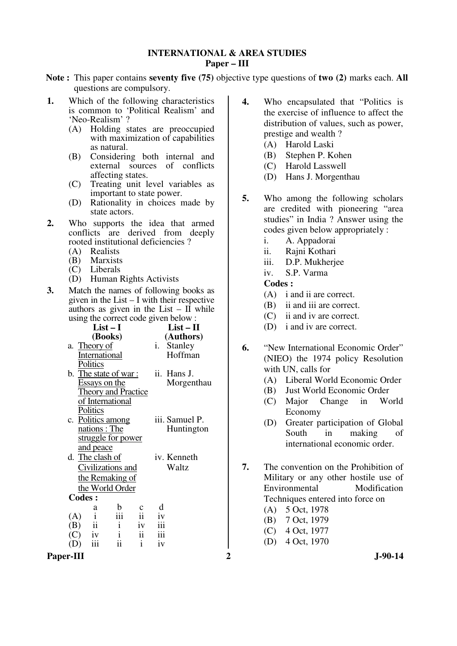# **INTERNATIONAL & AREA STUDIES Paper – III**

- **Note :** This paper contains **seventy five (75)** objective type questions of **two (2)** marks each. **All** questions are compulsory.
- **1.** Which of the following characteristics is common to 'Political Realism' and 'Neo-Realism' ?
	- (A) Holding states are preoccupied with maximization of capabilities as natural.
	- (B) Considering both internal and external sources of conflicts affecting states.
	- (C) Treating unit level variables as important to state power.
	- (D) Rationality in choices made by state actors.
- **2.** Who supports the idea that armed conflicts are derived from deeply rooted institutional deficiencies ?
	- (A) Realists
	- (B) Marxists
	- (C) Liberals
	- (D) Human Rights Activists
- **3.** Match the names of following books as given in the List – I with their respective authors as given in the List –  $\overline{\text{II}}$  while using the correct code given below :

| $\mu$ <sub>1</sub> $\mu$ <sub>1</sub> $\mu$ $\sigma$ <sub>1</sub> $\sigma$ <sub>1</sub> $\sigma$ <sub>1</sub> $\sigma$ <sub>1</sub> $\sigma$ <sub>1</sub> $\sigma$ <sub>1</sub> $\sigma$ <sub>1</sub> $\sigma$ <sub>1</sub> $\sigma$ <sub>1</sub> |                |    |                                        |  |  |  |
|---------------------------------------------------------------------------------------------------------------------------------------------------------------------------------------------------------------------------------------------------|----------------|----|----------------------------------------|--|--|--|
| $List-I$                                                                                                                                                                                                                                          | $List - II$    |    | (D) i and iv are correct.              |  |  |  |
| (Books)                                                                                                                                                                                                                                           | (Authors)      |    |                                        |  |  |  |
| a. Theory of                                                                                                                                                                                                                                      | i. Stanley     | 6. | "New International Economic Order"     |  |  |  |
| International                                                                                                                                                                                                                                     | Hoffman        |    | (NIEO) the 1974 policy Resolution      |  |  |  |
| Politics                                                                                                                                                                                                                                          |                |    | with UN, calls for                     |  |  |  |
| b. The state of war:                                                                                                                                                                                                                              | ii. Hans J.    |    |                                        |  |  |  |
| <b>Essays on the</b>                                                                                                                                                                                                                              | Morgenthau     |    | Liberal World Economic Order<br>(A)    |  |  |  |
| <b>Theory and Practice</b>                                                                                                                                                                                                                        |                |    | Just World Economic Order<br>(B)       |  |  |  |
| of International                                                                                                                                                                                                                                  |                |    | Major Change<br>World<br>(C)<br>in     |  |  |  |
| Politics                                                                                                                                                                                                                                          |                |    | Economy                                |  |  |  |
| c. Politics among                                                                                                                                                                                                                                 | iii. Samuel P. |    | Greater participation of Global<br>(D) |  |  |  |
| nations : The                                                                                                                                                                                                                                     | Huntington     |    | making<br>South<br>in<br>of            |  |  |  |
| struggle for power                                                                                                                                                                                                                                |                |    | international economic order.          |  |  |  |
| <u>and peace</u>                                                                                                                                                                                                                                  |                |    |                                        |  |  |  |
| d. The clash of                                                                                                                                                                                                                                   | iv. Kenneth    |    |                                        |  |  |  |
| Civilizations and                                                                                                                                                                                                                                 | Waltz          | 7. | The convention on the Prohibition of   |  |  |  |
| the Remaking of                                                                                                                                                                                                                                   |                |    | Military or any other hostile use of   |  |  |  |
| the World Order                                                                                                                                                                                                                                   |                |    | Modification<br>Environmental          |  |  |  |
| Codes :                                                                                                                                                                                                                                           |                |    | Techniques entered into force on       |  |  |  |
| b<br>$\mathbf c$<br>a                                                                                                                                                                                                                             | d              |    | 5 Oct, 1978<br>(A)                     |  |  |  |
| $\overline{\text{iii}}$<br>$\overline{\mathbf{ii}}$<br>(A)<br>$\mathbf{1}$                                                                                                                                                                        | iv             |    | 7 Oct, 1979<br>(B)                     |  |  |  |
| $\mathbf{ii}$<br>$\mathbf{i}$<br>iv<br>(B)                                                                                                                                                                                                        | iii            |    |                                        |  |  |  |
| $\ddot{\rm ii}$<br>$\mathbf{i}$<br>(C)<br>iv                                                                                                                                                                                                      | iii            |    | (C)<br>4 Oct, 1977                     |  |  |  |
| ii<br>$\mathbf{i}$<br>(D)<br>111                                                                                                                                                                                                                  | iv             |    | 4 Oct, 1970<br>(D)                     |  |  |  |
| Paper-III                                                                                                                                                                                                                                         |                | 2  | $J-90-14$                              |  |  |  |
|                                                                                                                                                                                                                                                   |                |    |                                        |  |  |  |

- **4.** Who encapsulated that "Politics is the exercise of influence to affect the distribution of values, such as power, prestige and wealth ?
	- (A) Harold Laski
	- (B) Stephen P. Kohen
	- (C) Harold Lasswell
	- (D) Hans J. Morgenthau
- **5.** Who among the following scholars are credited with pioneering "area studies" in India ? Answer using the codes given below appropriately :
	- i. A. Appadorai
	- ii. Rajni Kothari
	- iii. D.P. Mukherjee
	- iv. S.P. Varma

- (A) i and ii are correct.
- (B) ii and iii are correct.
- (C) ii and iv are correct.
- (D) i and iv are correct.
- **6.** "New International Economic Order" (NIEO) the 1974 policy Resolution with UN, calls for
	- (A) Liberal World Economic Order
	- (B) Just World Economic Order
	- (C) Major Change in World Economy
	- (D) Greater participation of Global South in making of international economic order.
- **7.** The convention on the Prohibition of Military or any other hostile use of Environmental Modification Techniques entered into force on
	- (A) 5 Oct, 1978
	- (B) 7 Oct, 1979
	- (C) 4 Oct, 1977
	- (D) 4 Oct, 1970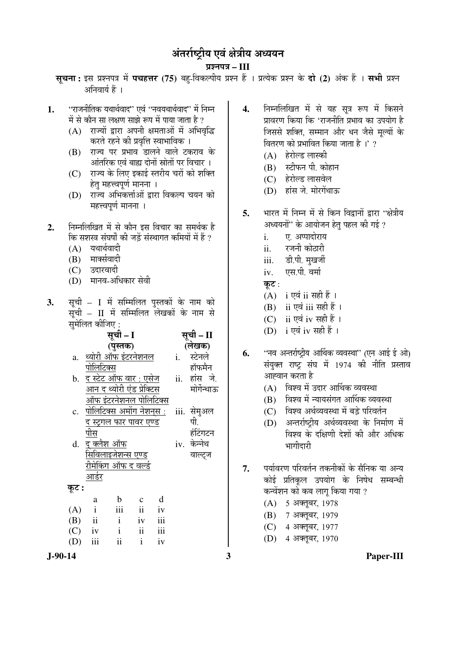# अंतर्राष्ट्रीय एवं क्षेत्रीय अध्ययन

¯ÖÏ¿®Ö¯Ö¡Ö **– III**

- सूचना: इस प्रश्नपत्र में पचहत्तर (75) बह-विकल्पीय प्रश्न हैं । प्रत्येक प्रश्न के दो (2) अंक हैं । सभी प्रश्न अनिवार्य हैं ।
- 1. 'राजनीतिक यथार्थवाद'' एवं "नवयथार्थवाद'' में निम्न में से कौन सा लक्षण साझे रूप में पाया जाता है ?
	- $(A)$  राज्यों द्वारा अपनी क्षमताओं में अभिवद्धि करते रहने की प्रवृत्ति स्वाभाविक ।
	- (B) राज्य पर प्रभाव डालने वाले टकराव के आंतरिक एवं बाह्य दोनों स्रोतों पर विचार ।
	- (C) राज्य के लिए इकाई स्तरीय चरों को शक्ति हेतु महत्त्वपूर्ण मानना ।
	- (D) राज्य अभिकर्त्ताओं द्वारा विकल्प चयन को महत्त्वपर्ण मानना ।
- **2.** ×®Ö´®Ö×»Ö×ÜÖŸÖ ´Öë ÃÖê ÛúÖî®Ö ‡ÃÖ ×¾Ö"ÖÖ¸ü ÛúÖ ÃÖ´Ö£ÖÔÛú Æîü कि सशस्त्र संघर्षों की जड़ें संस्थागत कमियों में हैं ?
	- $(A)$  यथार्थवादी
	- $(B)$  मार्क्सवादी
	- (C) उदारवादी
	- (D) मानव-अधिकार सेवी
- 3. सूची I में सम्मिलित पुस्तकों के नाम को  $\bar{\mathbf{q}}$ ची – II में सम्मिलित लेखकों के नाम से सुमेलित कीजिए :

|       |                                   | सूची – I     |                | सूची – II |    |              |  |
|-------|-----------------------------------|--------------|----------------|-----------|----|--------------|--|
|       |                                   | (पुस्तक)     |                |           |    | (लेखक)       |  |
| a.    | <u>थ्योरी ऑफ इंटरनेशनल</u>        |              |                |           | i. | स्टेनले      |  |
|       | पोलिटिक्स                         |              |                |           |    | हॉफमैन       |  |
|       | <u>b.  द स्टेट ऑफ वार : एसेज</u>  |              |                |           |    | ii. हांस जे. |  |
|       | आन <u> द थ्योरी एंड प्रेक्टिस</u> |              |                |           |    | मोर्गेन्थाऊ  |  |
|       | <u>ऑफ इंटरनेशनल पोलिटिक्स</u>     |              |                |           |    |              |  |
|       | पोलिटि <u>क्स अमोंग नेशन्स :</u>  |              |                |           |    | iii. सेमुअल  |  |
|       | <u>द स्ट्रगल फार पावर एण्ड</u>    |              |                |           |    | पी.          |  |
|       | पीस                               |              |                |           |    | हंटिंगटन     |  |
| d.    | <u>द क्लैश ऑफ</u>                 |              |                |           |    | iv. केन्नेथ  |  |
|       | <u>सिविलाइजेशन्स एण्ड</u>         |              |                |           |    | वाल्ट्ज      |  |
|       | रीमे <u>किंग ऑफ द वर्ल्ड</u>      |              |                |           |    |              |  |
|       | <u>आर्डर</u>                      |              |                |           |    |              |  |
| कूट : |                                   |              |                |           |    |              |  |
|       | a                                 | $\mathbf b$  | $\mathbf c$    | d         |    |              |  |
| (A)   | $\mathbf{i}$                      | iii          | $\ddot{\rm n}$ | iv        |    |              |  |
| (B)   | $\overline{\textbf{ii}}$          | $\mathbf{i}$ | iv             | iii       |    |              |  |
|       | $(C)$ iv                          | $\mathbf{i}$ | ii             | iii       |    |              |  |
| (D)   | iii                               | ii           | $\mathbf{i}$   | iv        |    |              |  |
|       |                                   |              |                |           |    |              |  |

- 4. निम्नलिखित में से यह सूत्र रूप में किसने प्रावरण किया कि 'राजनीति प्रभाव का उपयोग है जिससे शक्ति, सम्मान और धन जैसे मल्यों के वितरण को प्रभावित किया जाता है।' ?
	- (A) हेरोल्ड लास्की
	- (B) स्टीफन पी. कोहान
	- (C) हेरोल्ड लासवेल
	- (D) हांस जे. मोरगेंथाऊ
- 5. भारत में निम्न में से किन विद्रानों द्रारा "क्षेत्रीय अध्ययनों" के आयोजन हेतु पहल की गई ?
	- i. ‹. †¯¯ÖÖ¤üÖê¸üÖµÖ
	- ii. रजनी कोठारी
	- iii. डी.पी. मुखर्जी
	- iv. **एस.पी.** वर्मा
	- कुट $:$
	- (A) i एवं ii सही हैं ।
	- $(B)$  ii एवं iii सही हैं।
	- (C) ii एवं iv सही हैं।
	- (D) i एवं iv सही हैं।
- 6. "नव अन्तर्राष्ट्रीय आर्थिक व्यवस्था" (एन आई ई ओ) संयुक्त राष्ट्र संघ में 1974 की नीति प्रस्ताव आह्वान करता है
	- $(A)$  विश्व में उदार आर्थिक व्यवस्था
	- $(B)$  विश्व में न्यायसंगत आर्थिक व्यवस्था
	- (C) विश्व अर्थव्यवस्था में बड़े परिवर्तन
	- (D) अन्तर्राष्ट्रीय अर्थव्यवस्था के निर्माण में विश्व के दक्षिणी देशों की और अधिक भागीदारी
- 7. पर्यावरण परिवर्तन तकनीकों के सैनिक या अन्य कोई प्रतिकूल उपयोग के निषेध सम्बन्धी कन्वेंशन को कब लाग किया गया ?
	- (A) 5 अक्तूबर, 1978
	- (B) 7 अक्तूबर, 1979
	- (C) 4 अक्तूबर, 1977
	- (D) 4 अक्तूबर, 1970

**J-90-14 3 Paper-III**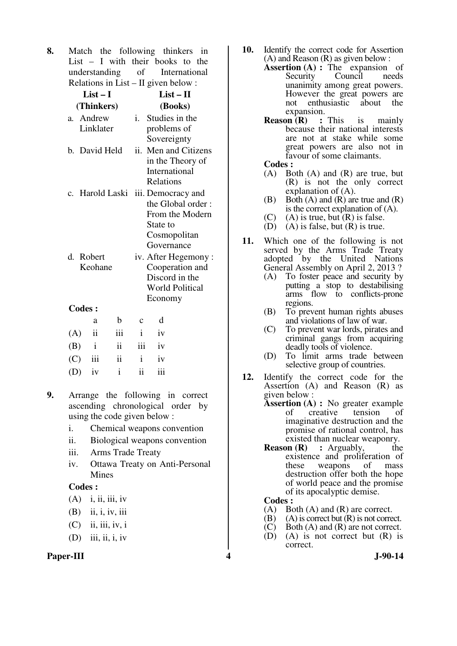**8.** Match the following thinkers in List – I with their books to the understanding of International Relations in List – II given below :

|               | $List-I$               |     |              | $List-II$                                                                                                            |  |
|---------------|------------------------|-----|--------------|----------------------------------------------------------------------------------------------------------------------|--|
|               | (Thinkers)             |     |              | (Books)                                                                                                              |  |
|               | a. Andrew<br>Linklater |     | $i_{-}$      | Studies in the<br>problems of<br>Sovereignty                                                                         |  |
|               | b. David Held          |     | ii.          | Men and Citizens<br>in the Theory of<br>International<br>Relations                                                   |  |
|               |                        |     |              | c. Harold Laski iii. Democracy and<br>the Global order:<br>From the Modern<br>State to<br>Cosmopolitan<br>Governance |  |
| d. Robert     |                        |     |              | iv. After Hegemony:                                                                                                  |  |
|               | Keohane                |     |              | Cooperation and<br>Discord in the<br><b>World Political</b><br>Economy                                               |  |
| <b>Codes:</b> |                        |     |              |                                                                                                                      |  |
|               | a                      | b   | $\mathbf c$  | d                                                                                                                    |  |
| (A)           | $\mathbf{ii}$          | iii | $\mathbf{i}$ | iv                                                                                                                   |  |
| (B)           | $\mathbf{i}$           | ii  | iii          | iv                                                                                                                   |  |
| (C)           | iii                    | 11  | $\mathbf{i}$ | iv                                                                                                                   |  |

- **9.** Arrange the following in correct ascending chronological order by using the code given below :
	- i. Chemical weapons convention
	- ii. Biological weapons convention
	- iii. Arms Trade Treaty

 $(D)$  iv i ii iii

 iv. Ottawa Treaty on Anti-Personal Mines

#### **Codes :**

- $(A)$  i, ii, iii, iv
- (B) ii, i, iv, iii
- $(C)$  ii, iii, iv, i
- $(D)$  iii, ii, i, iv
- Paper-III **4** J-90-14
- **10.** Identify the correct code for Assertion (A) and Reason (R) as given below :
	- **Assertion (A) :** The expansion of Security Council needs unanimity among great powers. However the great powers are not enthusiastic about the expansion.<br>**on**  $(R)$  : This
	- **Reason (R) :** This is mainly because their national interests are not at stake while some great powers are also not in favour of some claimants.
	- **Codes :**
	- (A) Both (A) and (R) are true, but (R) is not the only correct explanation of (A).
	- (B) Both  $(A)$  and  $(R)$  are true and  $(R)$ is the correct explanation of (A).
	- $(C)$  (A) is true, but  $(R)$  is false.
	- (D) (A) is false, but  $(R)$  is true.
- **11.** Which one of the following is not served by the Arms Trade Treaty adopted by the United Nations General Assembly on April 2, 2013 ?
	- (A) To foster peace and security by putting a stop to destabilising arms flow to conflicts-prone regions.
	- (B) To prevent human rights abuses and violations of law of war.
	- (C) To prevent war lords, pirates and criminal gangs from acquiring deadly tools of violence.
	- (D) To limit arms trade between selective group of countries.
- **12.** Identify the correct code for the Assertion (A) and Reason (R) as given below :
	- **Assertion (A) :** No greater example of creative tension of imaginative destruction and the promise of rational control, has existed than nuclear weaponry.<br>Reason  $(R)$ : Arguably, the
	- **:** Arguably, the existence and proliferation of<br>these weapons of mass weapons destruction offer both the hope of world peace and the promise of its apocalyptic demise.

- (A) Both (A) and (R) are correct.
- $(B)$  (A) is correct but  $(R)$  is not correct.
- (C) Both (A) and (R) are not correct.<br>(D) (A) is not correct but (R) is
- $(A)$  is not correct but  $(R)$  is correct.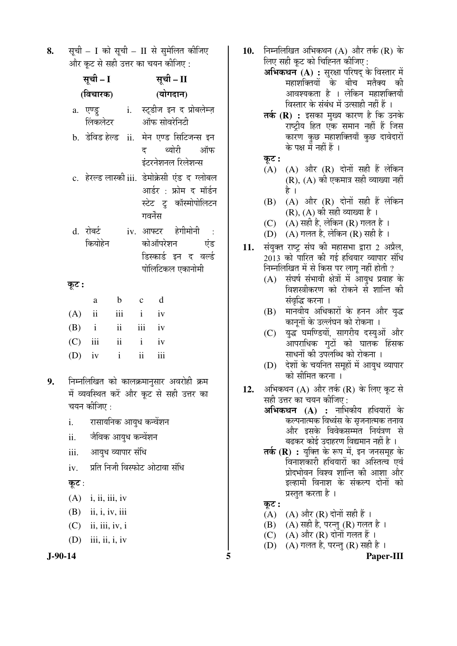8. सूची – I को सूची – II से सुमेलित कीजिए और कट से सही उत्तर का चयन कीजिए :

|          | सूची – I               |          | सूची – II                                                                                                    |  |  |  |  |
|----------|------------------------|----------|--------------------------------------------------------------------------------------------------------------|--|--|--|--|
|          | (विचारक)               |          | (योगदान)                                                                                                     |  |  |  |  |
|          | a. एण्ड्रु<br>लिंकलेटर |          | i.   स्ट्डीज इन द प्रोबलेम्ज़<br>ऑफ सोवरेनिटी                                                                |  |  |  |  |
|          | b. डेविड हेल्ड ii.     |          | मेन एण्ड सिटिजन्स इन<br>द थ्योरी ऑफ<br>इंटरनेशनल रिलेशन्स                                                    |  |  |  |  |
|          |                        |          | c. हेरल्ड लास्की iii. डेमोक्रेसी एंड द ग्लोबल<br>आर्डर : फ्रोम द मॉर्डन<br>स्टेट टु कॉस्मोपोलिटन<br>गवर्नेंस |  |  |  |  |
|          | d. रोबर्ट<br>कियोहेन   |          | iv. आफ्टर हेगीमोनी :<br>कोऑपरेशन<br>एंड<br>डिस्कार्ड इन द वर्ल्ड<br>पोलिटिकल एकानोमी                         |  |  |  |  |
| कूट :    |                        |          |                                                                                                              |  |  |  |  |
|          | $\rm{a}$               |          | b c d                                                                                                        |  |  |  |  |
| (A)      | $\mathbf{ii}$          | iii i    | iv                                                                                                           |  |  |  |  |
|          | $(B)$ i                |          | ii iii iv                                                                                                    |  |  |  |  |
|          | $(C)$ iii              | $ii$ $i$ | iv                                                                                                           |  |  |  |  |
| $(D)$ iv | $\mathbf{i}$           |          | $\mathbf{ii}$<br>iii                                                                                         |  |  |  |  |
| 9.       | चयन कीजिए :            |          | निम्नलिखित को कालक्रमानुसार अवरोही क्रम<br>में व्यवस्थित करें और कूट से सही उत्तर का                         |  |  |  |  |

- i. रासायोनक आयुध कन्वेशन
- ii. जैविक आयुध कन्वेंशन
- iii. आयुध व्यापार संधि
- $iv$  । प्रति निजी विस्फोट ओटावा संधि

# कूट :

- $(A)$  i, ii, iii, iv
- (B) ii, i, iv, iii
- $(C)$  ii, iii, iv, i
- $(D)$  iii, ii, i, iv



- 10. Fiमलिखित अभिकथन (A) और तर्क (R) के लिए सही कुट को चिह्नित कीजिए :
	- **अभिकथन (A) :** सुरक्षा परिषद के विस्तार में <u>महाशक्तियों के बीच मतैक्य की</u> आवश्यकता है । लेकिन महाशक्तियाँ विस्तार के संबंध में उत्साही नहीं हैं ।
	- तर्क (R) : इसका मुख्य कारण है कि उनके राष्ट्रीय हित एक समान नहीं हैं जिस कारण कुछ महाशक्तियाँ कुछ दावेदारों के पक्ष में नहीं हैं ।
	- कूट :
	- $(A)$   $(A)$  और  $(R)$  दोनों सही हैं लेकिन  $(R)$ ,  $(A)$  की एकमात्र सही व्याख्या नहीं है ।
	- $(B)$   $(A)$  और  $(R)$  दोनों सही हैं लेकिन  $(R)$ ,  $(A)$  की सही व्याख्या है।
	- (C)  $(A)$  सही है, लेकिन (R) गलत है।
	- (D)  $(A)$  गलत है, लेकिन (R) सही है ।
- 11. संयुक्त राष्ट्र संघ की महासभा द्वारा 2 अप्रैल, 2013 को पारित की गई हथियार व्यापार संधि निम्नलिखित में से किस पर लाग नहीं होती ?
	- $(A)$  संघर्ष संभावी क्षेत्रों में आयुध प्रवाह के विशस्त्रीकरण को रोकने से शान्ति की संवृद्धि करना ।
	- (B) मानवीय अधिकारों के हनन और युद्ध कानूनों के उल्लंघन को रोकना ।
	- (C) युद्ध घमण्डियों, सागरीय दस्युओं और आपराधिक गुटों को घातक हिंसक साधनों की उपलब्धि को रोकना ।
	- $(D)$  देशों के चयनित समहों में आयध व्यापार को सीमित करना ।
- 12. अभिकथन (A) और तर्क (R) के लिए कूट से सही उत्तर का चयन कीजिए: **अभिकथन (A) :** नाभिकीय हथियारों के कल्पनात्मक विध्वंस के सृजनात्मक तनाव
	- और इसके विवेकसम्मत नियंत्रण से बढकर कोई उदाहरण विद्यमान नहीं है ।
	- **तर्क (R) :** युक्ति के रूप में, इन जनसमूह के <u>विनाशकारी हथियारों का अस्तित्व एवं</u> प्रोदभोवन विश्व शान्ति की आशा और इल्हामी विनाश के संकल्प दोनों को प्रस्तुत करता है ।

# कूट :

- $(A)$   $(A)$  और  $(R)$  दोनों सही हैं।
- $(B)$   $(A)$  सही है, परन्तु  $(R)$  गलत है।
- (C)  $(A)$  और  $(R)$  दोनों गलत हैं।
- (D)  $(A)$  गलत है, परन्तु (R) सही है ।

**J-90-14 5 Paper-III**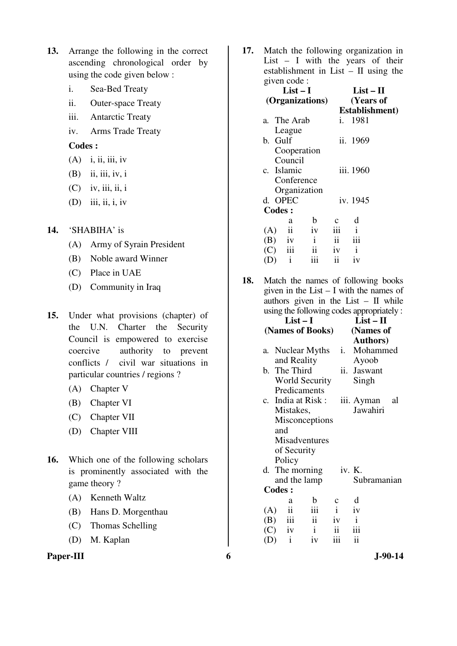- **13.** Arrange the following in the correct ascending chronological order by using the code given below :
	- i. Sea-Bed Treaty
	- ii. Outer-space Treaty
	- iii. Antarctic Treaty
	- iv. Arms Trade Treaty

**Codes :** 

- $(A)$  i, ii, iii, iv
- (B) ii, iii, iv, i
- $(C)$  iv, iii, ii, i
- $(D)$  iii, ii, i, iv
- **14.** 'SHABIHA' is
	- (A) Army of Syrain President
	- (B) Noble award Winner
	- (C) Place in UAE
	- (D) Community in Iraq
- **15.** Under what provisions (chapter) of the U.N. Charter the Security Council is empowered to exercise coercive authority to prevent conflicts / civil war situations in particular countries / regions ?
	- (A) Chapter V
	- (B) Chapter VI
	- (C) Chapter VII
	- (D) Chapter VIII
- **16.** Which one of the following scholars is prominently associated with the game theory ?
	- (A) Kenneth Waltz
	- (B) Hans D. Morgenthau
	- (C) Thomas Schelling
	- (D) M. Kaplan

#### **Paper-III** 6 J-90-14

**17.** Match the following organization in List – I with the years of their establishment in List – II using the given code :

|     |     | $\mathbf{F}$ . $\mathbf{F}$ . $\mathbf{F}$ |                         |                |              |                |  |  |  |
|-----|-----|--------------------------------------------|-------------------------|----------------|--------------|----------------|--|--|--|
|     |     | $List-I$                                   |                         | $List - II$    |              |                |  |  |  |
|     |     | (Organizations)                            |                         | (Years of      |              |                |  |  |  |
|     |     |                                            |                         |                |              | Establishment) |  |  |  |
| a.  |     | The Arab                                   |                         | i.             | 1981         |                |  |  |  |
|     |     | League                                     |                         |                |              |                |  |  |  |
|     |     | b. Gulf                                    |                         |                | ii. 1969     |                |  |  |  |
|     |     | Cooperation                                |                         |                |              |                |  |  |  |
|     |     | Council                                    |                         |                |              |                |  |  |  |
|     |     | c. Islamic                                 |                         |                | iii. 1960    |                |  |  |  |
|     |     | Conference                                 |                         |                |              |                |  |  |  |
|     |     |                                            | Organization            |                |              |                |  |  |  |
|     |     | d. OPEC                                    |                         |                | iv. 1945     |                |  |  |  |
|     |     | <b>Codes:</b>                              |                         |                |              |                |  |  |  |
|     |     | a                                          | b                       | $\mathbf{C}$   | d            |                |  |  |  |
| (A) |     | ii                                         | iv                      | iii            | $\mathbf{i}$ |                |  |  |  |
|     |     | $(B)$ iv                                   | $\mathbf{i}$            | $\mathbf{ii}$  | iii          |                |  |  |  |
|     |     | $(C)$ iii                                  | $\overline{\mathbf{u}}$ | iv             | $\mathbf{i}$ |                |  |  |  |
|     | (D) | $\mathbf{i}$                               | iii                     | $\ddot{\rm n}$ | iv           |                |  |  |  |
|     |     |                                            |                         |                |              |                |  |  |  |

**18.** Match the names of following books given in the List – I with the names of authors given in the List  $-$  II while using the following codes appropriately :

|     |     | (Names of Books)                                                                   |                                                                                                                                                                              | (Names of                                                         |                                  |                                                                                       |  |  |
|-----|-----|------------------------------------------------------------------------------------|------------------------------------------------------------------------------------------------------------------------------------------------------------------------------|-------------------------------------------------------------------|----------------------------------|---------------------------------------------------------------------------------------|--|--|
|     |     |                                                                                    |                                                                                                                                                                              |                                                                   | <b>Authors</b> )                 |                                                                                       |  |  |
|     |     | Nuclear Myths                                                                      |                                                                                                                                                                              |                                                                   | i. Mohammed                      |                                                                                       |  |  |
|     |     |                                                                                    |                                                                                                                                                                              |                                                                   | Ayoob                            |                                                                                       |  |  |
|     |     |                                                                                    |                                                                                                                                                                              |                                                                   |                                  |                                                                                       |  |  |
|     |     |                                                                                    |                                                                                                                                                                              |                                                                   | Singh                            |                                                                                       |  |  |
|     |     |                                                                                    |                                                                                                                                                                              |                                                                   |                                  |                                                                                       |  |  |
|     |     |                                                                                    |                                                                                                                                                                              |                                                                   |                                  | al                                                                                    |  |  |
|     |     |                                                                                    |                                                                                                                                                                              |                                                                   | Jawahiri                         |                                                                                       |  |  |
|     |     |                                                                                    |                                                                                                                                                                              |                                                                   |                                  |                                                                                       |  |  |
|     |     |                                                                                    |                                                                                                                                                                              |                                                                   |                                  |                                                                                       |  |  |
|     |     |                                                                                    |                                                                                                                                                                              |                                                                   |                                  |                                                                                       |  |  |
|     |     |                                                                                    |                                                                                                                                                                              |                                                                   |                                  |                                                                                       |  |  |
|     |     |                                                                                    |                                                                                                                                                                              |                                                                   |                                  |                                                                                       |  |  |
|     |     |                                                                                    |                                                                                                                                                                              |                                                                   |                                  |                                                                                       |  |  |
|     |     |                                                                                    |                                                                                                                                                                              |                                                                   |                                  |                                                                                       |  |  |
|     |     |                                                                                    |                                                                                                                                                                              |                                                                   |                                  |                                                                                       |  |  |
|     | a   | $\mathbf b$                                                                        | $\mathbf c$                                                                                                                                                                  |                                                                   | d                                |                                                                                       |  |  |
| (A) |     |                                                                                    |                                                                                                                                                                              |                                                                   |                                  |                                                                                       |  |  |
|     |     |                                                                                    |                                                                                                                                                                              |                                                                   |                                  |                                                                                       |  |  |
|     |     |                                                                                    |                                                                                                                                                                              |                                                                   |                                  |                                                                                       |  |  |
| (D) |     | iv                                                                                 |                                                                                                                                                                              |                                                                   |                                  |                                                                                       |  |  |
|     | (B) | and<br>Policy<br><b>Codes:</b><br>$\mathbf{ii}$<br>iii<br>$(C)$ iv<br>$\mathbf{i}$ | and Reality<br>b. The Third<br>Predicaments<br>c. India at Risk:<br>Mistakes,<br>of Security<br>d. The morning<br>and the lamp<br>iii<br>$\ddot{\mathbf{i}}$<br>$\mathbf{i}$ | World Security<br>Misconceptions<br>Misadventures<br>$\mathbf{i}$ | iv<br>$\ddot{\mathbf{i}}$<br>iii | ii. Jaswant<br>iii. Ayman<br>iv. K.<br>Subramanian<br>iv<br>$\mathbf{i}$<br>iii<br>ii |  |  |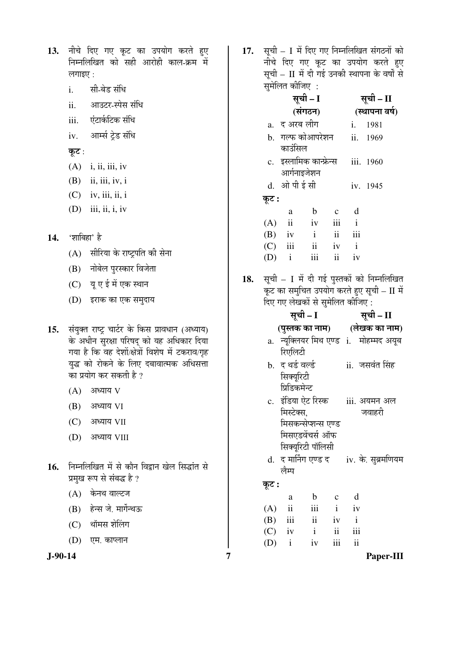| 13.  नीचे दिए गए कूट का उपयोग करते हुए |
|----------------------------------------|
| निम्नलिखित को सही आरोही काल-क्रम में   |
| लगाइए :                                |

- i. सी-बेड संधि
- ii. आउटर-स्पेस संधि
- iii. एंटार्कटिक संधि
- iv. आर्म्स ट्रेड संधि
- कूट:
- $(A)$  i, ii, iii, iv
- $(B)$  ii, iii, iv, i
- $(C)$  iv, iii, ii, i
- $(D)$  iii, ii, i, iv
- 14. 'शाबिहा' है
	- $(A)$  सीरिया के राष्ट्रपति की सेना
	- (B) नोबेल पुरस्कार विजेता
	- (C) यूए ई में एक स्थान
	- (D) इराक का एक समुदाय
- 15. संयुक्त राष्ट्र चार्टर के किस प्रावधान (अध्याय) के अधीन सुरक्षा परिषद को यह अधिकार दिया गया है कि वह देशों/क्षेत्रों विशेष में टकराव/गृह युद्ध को रोकने के लिए दबावात्मक अधिसत्ता का प्रयोग कर सकती है ?
	- $(A)$  अध्याय  $V$
	- $(B)$  अध्याय VI
	- $(C)$  अध्याय VII
	- (D) अध्याय VIII
- **16.** ×®Ö´®Ö×»Ö×ÜÖŸÖ ´Öë ÃÖê ÛúÖî®Ö ×¾Ö«üÖ®Ö ÜÖê»Ö ×ÃÖ¨üÖÓŸÖ ÃÖê प्रमुख रूप से संबद्ध है ?
	- $(A)$  केनथ वाल्टज
	- (B) हेन्स जे. मार्गेन्थऊ
	- (C) थॉमस शेलिंग
	- (D) एम. काप्लान

17. सूची – I में दिए गए निम्नलिखित संगठनों को नीचे दिए गए कुट का उपयोग करते हुए सूची – II में दी गई उनकी स्थापना के वर्षों से  $\hat{\mathbf{u}}$ मेलित कीजाि $\mathbf{u}$  :

| $\mathbf{u}$ and $\mathbf{v}$ and $\mathbf{v}$ |              |                         |                     |              |                |  |
|------------------------------------------------|--------------|-------------------------|---------------------|--------------|----------------|--|
|                                                | सूची - I     |                         | सूची – II           |              |                |  |
|                                                |              | (संगठन)                 |                     |              | (स्थापना वर्ष) |  |
|                                                | a. द अरब लीग |                         |                     |              | i. 1981        |  |
|                                                |              | b.   गल्फ कोआपरेशन      |                     |              | ii. 1969       |  |
|                                                | काउंसिल      |                         |                     |              |                |  |
|                                                |              | c. इस्लामिक कान्फ्रेन्स |                     |              | iii. 1960      |  |
|                                                | आर्गनाइजेशन  |                         |                     |              |                |  |
|                                                | d. ओ पी ई सी |                         |                     |              | iv. 1945       |  |
| कूट :                                          |              |                         |                     |              |                |  |
|                                                | a            | $\mathbf b$             | $\mathbf{c}$        | d            |                |  |
|                                                | $(A)$ ii     | iv                      | iii                 | $\mathbf{i}$ |                |  |
|                                                | $(B)$ iv     | $\mathbf{i}$            | $\mathbf{ii}$       | iii          |                |  |
|                                                | $(C)$ iii    | $\ddot{\mathbf{i}}$     | iv                  | $\mathbf{i}$ |                |  |
| (D)                                            | $\mathbf{i}$ | iii                     | $\ddot{\mathbf{i}}$ | iv           |                |  |
|                                                |              |                         |                     |              |                |  |

18. सूची – I में दी गई पुस्तकों को निम्नलिखित कट का समुचित उपयोग करते हुए सूची – II में ्<br>हिए गए लेखकों से सुमेलित कीजिए :

|       |                  | सूची – I            |              | सूची – II |                                              |
|-------|------------------|---------------------|--------------|-----------|----------------------------------------------|
|       |                  |                     |              |           | (पुस्तक का नाम) (लेखक का नाम)                |
| a.    |                  |                     |              |           | न्युक्लियर मिथ एण्ड i. मोहम्मद अयुब          |
|       | रिएलिटी          |                     |              |           |                                              |
|       | b. द थर्ड वर्ल्ड |                     |              |           | ii.  जसवंत सिंह                              |
|       | सिक्युरिटी       |                     |              |           |                                              |
|       | प्रिडिकमेन्ट     |                     |              |           |                                              |
|       |                  |                     |              |           | c. इंडिया ऐट रिस्क     iii. अयमन अल          |
|       | मिस्टेक्स.       |                     |              |           | जवाहरी                                       |
|       |                  | मिसकन्सेप्शन्स एण्ड |              |           |                                              |
|       |                  | मिसएडवेंचर्स ऑफ     |              |           |                                              |
|       |                  | सिक्यूरिटी पॉलिसी   |              |           |                                              |
|       |                  |                     |              |           | d. द मार्निंग एण्ड द      iv. के. सुब्रमणियम |
|       | लैम्प            |                     |              |           |                                              |
| कूट : |                  |                     |              |           |                                              |
|       | a                | $\mathbf b$         |              | $c$ d     |                                              |
|       | $(A)$ ii         | iii                 | $\mathbf{i}$ | iv        |                                              |
|       | $(B)$ iii        | ii iv i             |              |           |                                              |
|       | $(C)$ iv         | $\mathbf{i}$        | ii           | iii       |                                              |
|       | $(D)$ i          | iv                  | iii          | ii        |                                              |

**J-90-14 7 Paper-III**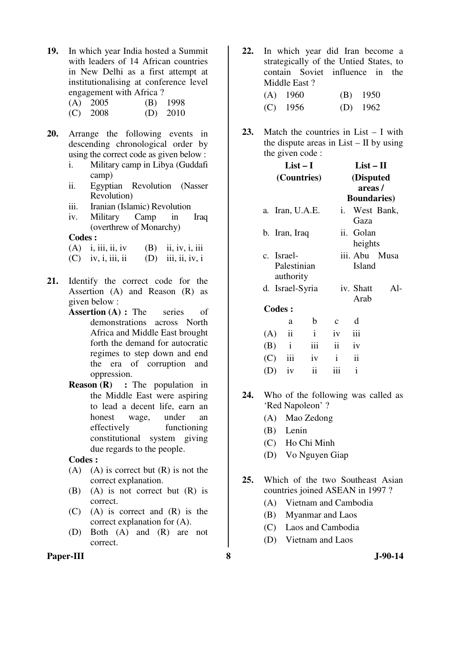**19.** In which year India hosted a Summit with leaders of 14 African countries in New Delhi as a first attempt at institutionalising at conference level engagement with Africa ? (A) 2005 (B) 1998

| $\lambda - \lambda$ $- -$ | $\sim$ $\sim$ $\sim$ $\sim$ |
|---------------------------|-----------------------------|
| $(C)$ 2008                | $(D)$ 2010                  |

- **20.** Arrange the following events in descending chronological order by using the correct code as given below :
	- i. Military camp in Libya (Guddafi camp)
	- ii. Egyptian Revolution (Nasser Revolution)
	- iii. Iranian (Islamic) Revolution
	- iv. Military Camp in Iraq (overthrew of Monarchy)

# **Codes :**

- $(A)$  i, iii, ii, iv  $(B)$  ii, iv, i, iii
- $(C)$  iv, i, iii, ii  $(D)$  iii, ii, iv, i
- **21.** Identify the correct code for the Assertion (A) and Reason (R) as given below :
	- **Assertion (A) : The series of** demonstrations across North Africa and Middle East brought forth the demand for autocratic regimes to step down and end the era of corruption and oppression.
	- **Reason (R) :** The population in the Middle East were aspiring to lead a decent life, earn an honest wage, under an effectively functioning constitutional system giving due regards to the people.

- $(A)$  (A) is correct but  $(R)$  is not the correct explanation.
- (B) (A) is not correct but (R) is correct.
- (C) (A) is correct and (R) is the correct explanation for (A).
- (D) Both (A) and (R) are not correct.
- **22.** In which year did Iran become a strategically of the Untied States, to contain Soviet influence in the Middle East ?
	- (A) 1960 (B) 1950 (C) 1956 (D) 1962
- **23.** Match the countries in List I with the dispute areas in  $List - II$  by using the given code :

|     |               | $List-I$                               |                 | $List-II$                                  |                         |       |  |  |  |
|-----|---------------|----------------------------------------|-----------------|--------------------------------------------|-------------------------|-------|--|--|--|
|     |               |                                        | (Countries)     | (Disputed<br>areas/<br><b>Boundaries</b> ) |                         |       |  |  |  |
|     |               |                                        | a. Iran, U.A.E. |                                            | i. West Bank,<br>Gaza   |       |  |  |  |
|     |               | b. Iran, Iraq                          |                 |                                            | ii. Golan<br>heights    |       |  |  |  |
|     |               | c. Israel-<br>Palestinian<br>authority |                 |                                            | iii. Abu Musa<br>Island |       |  |  |  |
|     |               |                                        | d. Israel-Syria |                                            | iv. Shatt<br>Arab       | $Al-$ |  |  |  |
|     | <b>Codes:</b> |                                        |                 |                                            |                         |       |  |  |  |
|     |               | a                                      | $\mathbf b$     | $\mathbf c$                                | d                       |       |  |  |  |
| (A) |               | $\ddot{\mathbf{i}}$                    | $\mathbf{i}$    | iv                                         | iii                     |       |  |  |  |
|     | (B)           | $\mathbf{i}$                           | iii             | $\mathbf{ii}$                              | iv                      |       |  |  |  |
| (C) |               | iii                                    | iv              | $\mathbf{i}$                               | $\ddot{\mathbf{i}}$     |       |  |  |  |
| (D) |               | iv                                     | ii              | iii                                        | $\mathbf{i}$            |       |  |  |  |

- **24.** Who of the following was called as 'Red Napoleon' ?
	- (A) Mao Zedong
	- (B) Lenin
	- (C) Ho Chi Minh
	- (D) Vo Nguyen Giap
- **25.** Which of the two Southeast Asian countries joined ASEAN in 1997 ?
	- (A) Vietnam and Cambodia
	- (B) Myanmar and Laos
	- (C) Laos and Cambodia
	- (D) Vietnam and Laos
- **Paper-III** 3 **3** J-90-14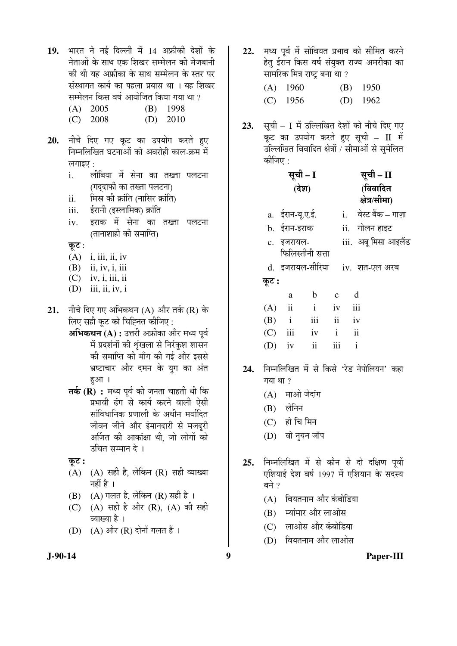- 19. भारत ने नई दिल्ली में 14 अफ्रीकी देशों के नेताओं के साथ एक शिखर सम्मेलन की मेजबानी की थी यह अफ्रीका के साथ सम्मेलन के स्तर पर संस्थागत कार्य का पहला प्रयास था । यह शिखर सम्मेलन किस वर्ष आयोजित किया गया था ?
	- (A) 2005 (B) 1998
	- (C) 2008 (D) 2010
- 20. नीचे दिए गए कूट का उपयोग करते हुए ×®Ö´®Ö×»Ö×ÜÖŸÖ 'Ö™ü®ÖÖ†Öë ÛúÖê †¾Ö¸üÖêÆüß ÛúÖ»Ö-ÛÎú´Ö ´Öë लगाइए $\cdot$ :
	- i. लीबिया में सेना का तख्ता पलटना (गददाफी का तख्ता पलटना)
	- ii. मिस्र को क्रांति (नासिर क्रांति)
	- iii. ‡Ô¸üÖ®Öß (‡Ã»ÖÖ×´ÖÛú) ÛÎúÖÓןÖ
	- iv. इराक में सेना का तख्ता पलटना (तानाशाही की समाप्ति)
	- कूट:
	- $(A)$  i, iii, ii, iv
	- (B) ii, iv, i, iii
	- $(C)$  iv, i, iii, ii
	- (D) iii, ii, iv, i
- 21. नीचे दिए गए अभिकथन (A) और तर्क (R) के लिए सही कूट को चिह्नित कीजिए :
	- **अभिकथन (A) :** उत्तरी अफ्रीका और मध्य पर्व में प्रदर्शनों की शृंखला से निरंकुश शासन की समाप्ति की माँग की गई और इससे भ्रष्टाचार और दमन के यग का अंत हआ।
	- **तर्क (R) :** मध्य पर्व की जनता चाहती थी कि प्रभावी ढंग से कार्य करने वाली ऐसी सांविधानिक प्रणाली के अधीन मर्यादित जीवन जीने और ईमानदारी से मजदूरी अर्जित की आकांक्षा थी, जो लोगों को उचित सम्मान दे ।
	- कट :
	- $(A)$   $(A)$  सही है, लेकिन  $(R)$  सही व्याख्या नहीं है ।
	- $(B)$   $(A)$  गलत है, लेकिन  $(R)$  सही है ।
	- (C)  $(A)$  सही है और  $(R)$ ,  $(A)$  की सही व्याख्या है ।
	- $(D)$   $(A)$  और  $(R)$  दोनों गलत हैं।
- 22. मध्य पर्व में सोवियत प्रभाव को सीमित करने हेतु ईरान किस वर्ष संयुक्त राज्य अमरीका का सामरिक मित्र राष्ट बना था ?
	- (A) 1960 (B) 1950 (C) 1956 (D) 1962
- 23. सूची I में उल्लिखित देशों को नीचे दिए गए कूट का उपयोग करते हुए सूची – II में उल्लिखित विवादित क्षेत्रों / सीमाओं से सुमेलित कीजिए :

|       | सूची – I                  |               |              | सूची – II |                       |  |
|-------|---------------------------|---------------|--------------|-----------|-----------------------|--|
|       | (देश)                     |               |              | (विवादित  |                       |  |
|       |                           |               |              |           | क्षेत्र/सीमा)         |  |
|       | a. ईरान-यू.ए.ई.           |               |              |           | i. वेस्ट बैंक – गाज़ा |  |
|       | b. ईरान-इराक              |               |              |           | ii. गोलन हाइट         |  |
|       | c. इजरायल-                |               |              |           | iii. अबू मिसा आइलैंड  |  |
|       | फिलिस्तीनी सत्ता          |               |              |           |                       |  |
|       | d. इजरायल-सीरिया          |               |              |           | iv. शत-एल अरब         |  |
| कूट : |                           |               |              |           |                       |  |
|       | a                         | $\mathbf b$   | $\mathbf{C}$ |           | d                     |  |
| (A)   | $\overline{\mathbf{u}}$   | $\mathbf{i}$  | iv           |           | iii                   |  |
|       | $(B)$ i                   | iii           | ii iv        |           |                       |  |
| (C)   | $\overline{\mathbf{iii}}$ | iv            | $\mathbf{i}$ |           | ii                    |  |
| (D)   | iv                        | $\mathbf{ii}$ | iii          |           | $\mathbf{i}$          |  |

- 24. ਜਿਸਗਿਰਿਕਰ में से किसे 'रेड नेपोलियन' कहा गया था ?
	- $(A)$  माओ जेदांग
	- $(B)$  लेनिन
	- $(C)$  हो चि मिन
	- (D) वो नुयन जॉप
- 25. निम्नलिखित में से कौन से दो दक्षिण पूर्वी एशियाई देश वर्ष 1997 में एशियान के सदस्य बने ?
	- (A) वियतनाम और कंबोडिया
	- (B) स्यांमार और लाओस
	- (C) लाओस और कंबोडिया
	- (D) वियतनाम और लाओस

**J-90-14 9 Paper-III**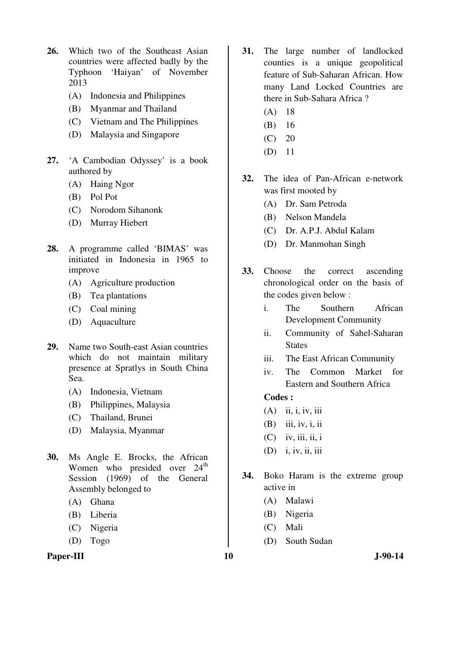- **26.** Which two of the Southeast Asian countries were affected badly by the Typhoon 'Haiyan' of November 2013
	- (A) Indonesia and Philippines
	- (B) Myanmar and Thailand
	- (C) Vietnam and The Philippines
	- (D) Malaysia and Singapore
- **27.** 'A Cambodian Odyssey' is a book authored by
	- (A) Haing Ngor
	- (B) Pol Pot
	- (C) Norodom Sihanonk
	- (D) Murray Hiebert
- **28.** A programme called 'BIMAS' was initiated in Indonesia in 1965 to improve
	- (A) Agriculture production
	- (B) Tea plantations
	- (C) Coal mining
	- (D) Aquaculture
- **29.** Name two South-east Asian countries which do not maintain military presence at Spratlys in South China Sea.
	- (A) Indonesia, Vietnam
	- (B) Philippines, Malaysia
	- (C) Thailand, Brunei
	- (D) Malaysia, Myanmar
- **30.** Ms Angle E. Brocks, the African Women who presided over  $24<sup>th</sup>$ Session (1969) of the General Assembly belonged to
	- (A) Ghana
	- (B) Liberia
	- (C) Nigeria
	- (D) Togo

#### **Paper-III** J-90-14

- **31.** The large number of landlocked counties is a unique geopolitical feature of Sub-Saharan African. How many Land Locked Countries are there in Sub-Sahara Africa ?
	- (A) 18
	- (B) 16
	- $(C) 20$
	- (D) 11
- **32.** The idea of Pan-African e-network was first mooted by
	- (A) Dr. Sam Petroda
	- (B) Nelson Mandela
	- (C) Dr. A.P.J. Abdul Kalam
	- (D) Dr. Manmohan Singh
- **33.** Choose the correct ascending chronological order on the basis of the codes given below :
	- i. The Southern African Development Community
	- ii. Community of Sahel-Saharan **States**
	- iii. The East African Community
	- iv. The Common Market for Eastern and Southern Africa

- (A) ii, i, iv, iii
- (B) iii, iv, i, ii
- $(C)$  iv, iii, ii, i
- (D) i, iv, ii, iii
- **34.** Boko Haram is the extreme group active in
	- (A) Malawi
	- (B) Nigeria
	- (C) Mali
	- (D) South Sudan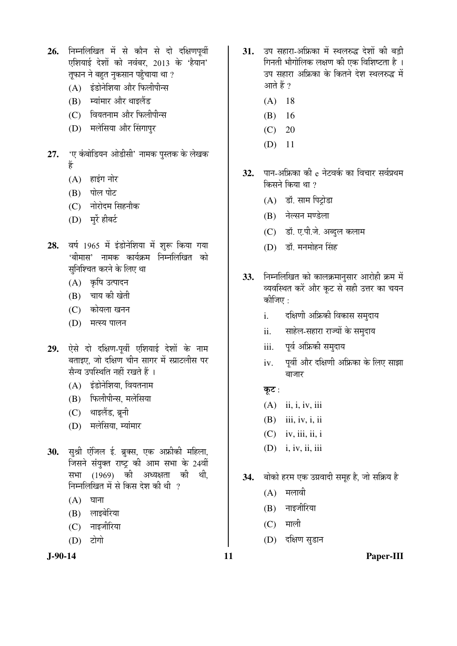26. निम्नलिखित में से कौन से दो दक्षिणपूर्वी एशियाई देशों को नवंबर, 2013 के 'हैयान' तूफान ने बहुत नुकसान पहुँचाया था ?

- (A) इंडोनेशिया और फिलीपीन्स
- (B) स्यांमार और थाइलैंड
- (C) वियतनाम और फिलीपीन्स
- (D) मलेसिया और सिंगापुर
- 27. 'ए कंबोडियन ओडीसी' नामक पुस्तक के लेखक Æïü
	- $(A)$  हाइंग नोर
	- (B) पोल पोट
	- $(C)$  नोरोदम सिहनौक
	- (D) मुर्रे हीबर्ट
- 28. वर्ष 1965 में इंडोनेशिया में शुरू किया गया 'बीमास' नामक कार्यक्रम निम्नलिखित को सनिश्चित करने के लिए था
	- (A) कृषि उत्पादन
	- $(B)$  चाय की खेती
	- (C) कोयला खनन
	- (D) मत्स्य पालन
- 29. ऐसे दो दक्षिण-पूर्वी एशियाई देशों के नाम बताइए. जो दक्षिण चीन सागर में स्प्राटलीस पर सैन्य उपस्थिति नहीं रखते हैं ।
	- $(A)$  इंडोनेशिया. वियतनाम
	- (B) फिलीपीन्स, मलेसिया
	- (C) थाइलैंड, ब्रूनी
	- (D) मलेसिया, म्यांमार
- 30. सुश्री एंजिल ई. ब्रुक्स, एक अफ्रीकी महिला, जिसने संयुक्त राष्ट्र की आम सभा के 24वीं<br>सभा (1969) की अध्यक्षता की थी. सभा (1969) को अध्यक्षता क<u>ी</u> निम्नलिखित में से किस देश की थी ?
	- $(A)$  घाना
	- $(B)$  लाइबेरिया
	- (C) नाइजीरिया
	- (D) टोगो



- 31. उप सहारा-अफ्रिका में स्थलरुद्ध देशों की बड़ी गिनती भौगोलिक लक्षण की एक विशिष्टता है । उप सहारा अफ्रिका के कितने देश स्थलरुद्ध में आते हैं ?
	- (A) 18
	- (B) 16
	- $(C) 20$
	- (D) 11
- 32. पान-अफ्रिका की e नेटवर्क का विचार सर्वप्रथम किसने किया था  $\gamma$ 
	- $(A)$  डॉ. साम पिट्रोडा
	- (B) नेल्सन मण्डेला
	- (C) डॉ. ए.पी.जे. अब्दुल कलाम
	- (D) डॉ. मनमोहन सिंह
- 33. निम्नलिखित को कालक्रमानुसार आरोही क्रम में व्यवस्थित करें और कूट से सही उत्तर का चयन कीजिए $\cdot$ 
	- i. दक्षिणी अफ्रिकी विकास समुदाय
	- ii. साहेल-सहारा राज्यों के समुदाय
	- iii. पूर्व अफ्रिकी समुदाय
	- iv. पूर्वी और दक्षिणी अफ्रिका के लिए साझा बाजार
	- कूट:
	- (A) ii, i, iv, iii
	- (B) iii, iv, i, ii
	- $(C)$  iv, iii, ii, i
	- (D) i, iv, ii, iii
- 34. बोको हरम एक उग्रवादी समूह है, जो सक्रिय है
	- $(A)$  मलावी
	- $(B)$  नाइजीरिया
	- $(C)$  माली
	- (D) दक्षिण सुडान
- **J-90-14 11 Paper-III**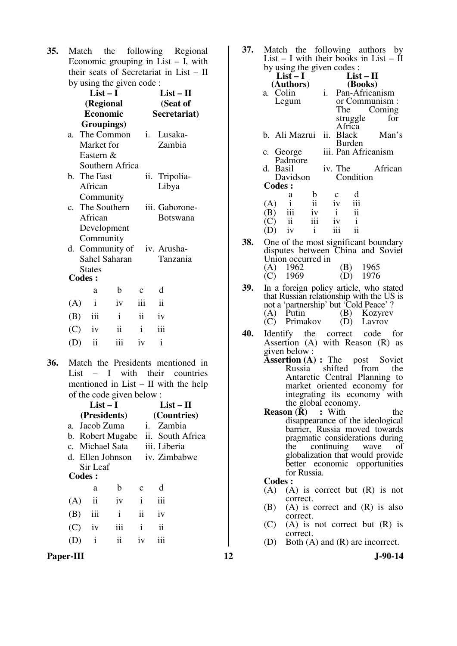**35.** Match the following Regional Economic grouping in List  $-$  I, with their seats of Secretariat in List – II by using the given code :

|               | $List-I$                 |                 |                 | $List - II$              |  |
|---------------|--------------------------|-----------------|-----------------|--------------------------|--|
|               | (Regional                |                 | (Seat of        |                          |  |
|               | <b>Economic</b>          |                 |                 | Secretariat)             |  |
|               | Groupings)               |                 |                 |                          |  |
| a.            |                          | The Common      | $i$ .           | Lusaka-                  |  |
|               | Market for               |                 |                 | Zambia                   |  |
|               | Eastern &                |                 |                 |                          |  |
|               |                          | Southern Africa |                 |                          |  |
|               | b. The East              |                 |                 | ii. Tripolia-            |  |
|               | African                  |                 |                 | Libya                    |  |
|               | Community                |                 |                 |                          |  |
|               |                          | c. The Southern |                 | iii. Gaborone-           |  |
|               | African                  |                 |                 | <b>Botswana</b>          |  |
|               |                          | Development     |                 |                          |  |
|               | Community                |                 |                 |                          |  |
| d.            |                          |                 |                 | Community of iv. Arusha- |  |
|               |                          | Sahel Saharan   |                 | Tanzania                 |  |
| <b>Codes:</b> | <b>States</b>            |                 |                 |                          |  |
|               | a                        | $\mathbf b$     | $\mathbf{C}$    | d                        |  |
|               |                          |                 |                 |                          |  |
| (A)           | $\mathbf{i}$             | iv              | iii             | $\mathbf{ii}$            |  |
| (B)           | iii                      | $\mathbf{i}$    | $\ddot{\rm ii}$ | iv                       |  |
| (C)           | iv                       | ii              | $\mathbf{i}$    | iii                      |  |
| (D)           | $\overline{\mathbf{ii}}$ | iii             | iv              | $\mathbf{i}$             |  |
|               |                          |                 |                 |                          |  |

**36.** Match the Presidents mentioned in List – I with their countries mentioned in List – II with the help of the code given below :

| $List-I$     |                                    |                                              |                                      | List – H                                                   |  |  |
|--------------|------------------------------------|----------------------------------------------|--------------------------------------|------------------------------------------------------------|--|--|
| (Presidents) |                                    |                                              |                                      | (Countries)                                                |  |  |
|              |                                    | 1.                                           |                                      |                                                            |  |  |
|              |                                    |                                              |                                      |                                                            |  |  |
|              |                                    |                                              |                                      |                                                            |  |  |
|              |                                    |                                              |                                      |                                                            |  |  |
|              |                                    |                                              |                                      |                                                            |  |  |
|              |                                    |                                              |                                      |                                                            |  |  |
| a            | b                                  | C                                            | d                                    |                                                            |  |  |
| ii           | iv                                 | i                                            | iii                                  |                                                            |  |  |
| iii          | $\mathbf{i}$                       | $\ddot{\mathbf{i}}$                          | iv                                   |                                                            |  |  |
| iv           | iii                                | i                                            | ij                                   |                                                            |  |  |
| i            | ii                                 | iv                                           |                                      |                                                            |  |  |
|              | <b>Codes:</b><br>(A)<br>(B)<br>(C) | a. Jacob Zuma<br>c. Michael Sata<br>Sir Leaf | b. Robert Mugabe<br>d. Ellen Johnson | Zambia<br>ii. South Africa<br>iii. Liberia<br>iv. Zimbabwe |  |  |

Paper-III **12** J-90-14

**37.** Match the following authors by List – I with their books in List –  $II$ by using the given codes  $\cdot$ 

| by using the given codes. |                                   |                          |    |         |                         |                     |  |  |  |
|---------------------------|-----------------------------------|--------------------------|----|---------|-------------------------|---------------------|--|--|--|
|                           | $List-I$                          |                          |    |         | $List - II$             |                     |  |  |  |
|                           | (Authors)                         |                          |    | (Books) |                         |                     |  |  |  |
| a. Colin                  |                                   |                          | i. |         |                         | Pan-Africanism      |  |  |  |
|                           | Legum                             |                          |    |         |                         | or Communism:       |  |  |  |
|                           |                                   |                          |    | The     |                         | Coming              |  |  |  |
|                           |                                   |                          |    |         | struggle                | for                 |  |  |  |
|                           |                                   |                          |    | Africa  |                         |                     |  |  |  |
|                           | b. Ali Mazrui ii. Black           |                          |    |         |                         | Man's               |  |  |  |
|                           |                                   |                          |    | Burden  |                         |                     |  |  |  |
| c. George                 |                                   |                          |    |         |                         | iii. Pan Africanism |  |  |  |
|                           | Padmore                           |                          |    |         |                         |                     |  |  |  |
| d. Basil                  |                                   |                          |    | iv. The |                         | African             |  |  |  |
|                           | Davidson                          |                          |    |         | Condition               |                     |  |  |  |
| <b>Codes:</b>             |                                   |                          |    |         |                         |                     |  |  |  |
|                           | a                                 | b                        |    | с       |                         |                     |  |  |  |
| (A)                       |                                   | $\overline{\textbf{ii}}$ |    | iv      | $\overline{\text{iii}}$ |                     |  |  |  |
| (B)                       |                                   | iv                       |    |         | $\ddot{i}$              |                     |  |  |  |
| $\mathcal{C}$             | $\frac{1}{111}$<br>$\frac{1}{11}$ | iii                      |    | iv      | $\mathbf{i}$            |                     |  |  |  |
|                           | iv                                | $\mathbf{i}$             |    | iii     |                         |                     |  |  |  |
|                           |                                   |                          |    |         |                         |                     |  |  |  |

- **38.** One of the most significant boundary disputes between China and Soviet Union occurred in (A) 1962 (B) 1965<br>
(C) 1969 (D) 1976 1976
- **39.** In a foreign policy article, who stated that Russian relationship with the US is not a 'partnership' but 'Cold Peace' ? (A) Putin (B) Kozyrev (C) Primakov (D) Lavrov
- **40.** Identify the correct code for Assertion (A) with Reason (R) as given below :
	- **Assertion (A) :** The post Soviet Russia shifted from the from the Antarctic Central Planning to market oriented economy for integrating its economy with the global economy.
	- **Reason (R)** : With the disappearance of the ideological barrier, Russia moved towards pragmatic considerations during<br>the continuing wave of continuing globalization that would provide better economic opportunities for Russia.

- (A) (A) is correct but (R) is not correct.
- (B) (A) is correct and (R) is also correct.
- $(C)$  (A) is not correct but  $(R)$  is correct.
- (D) Both (A) and (R) are incorrect.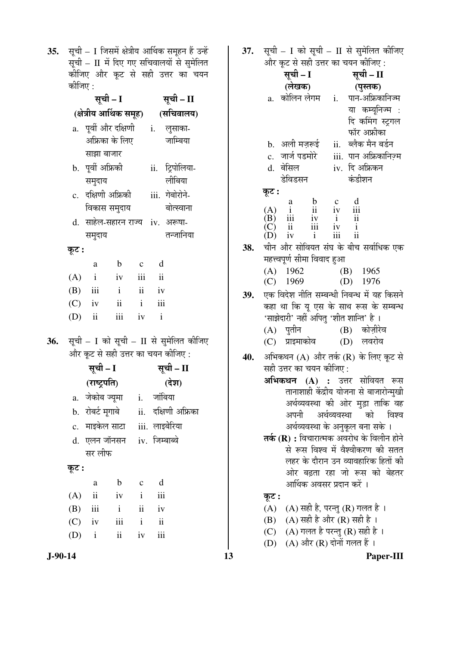**35.** सूची – I जिसमें क्षेत्रीय आर्थिक समूहन हैं उन्हें सूची –  $\rm{II}$  में दिए गए सचिवालयों से सुमेलित कीजिए और कूट से सही उत्तर का चयन कोजिए :

|       | सूची – I                                                                     |                    |                                    |               | सूची – II                 |                                             |  |  |
|-------|------------------------------------------------------------------------------|--------------------|------------------------------------|---------------|---------------------------|---------------------------------------------|--|--|
|       | (क्षेत्रीय आर्थिक समूह)                                                      |                    |                                    |               |                           | (सचिवालय)                                   |  |  |
|       | $\mathbf{a}$ .                                                               |                    | पूर्वी और दक्षिणी                  |               | i.                        | लुसाका-                                     |  |  |
|       |                                                                              |                    | अफ्रिका के लिए                     |               |                           | जाम्बिया                                    |  |  |
|       |                                                                              | साझा बाजार         |                                    |               |                           |                                             |  |  |
|       |                                                                              | b.  पूर्वी अफ्रिकी |                                    |               |                           | ii. ट्रिपोलिया-                             |  |  |
|       |                                                                              | समुदाय             |                                    |               |                           | लीबिया                                      |  |  |
|       |                                                                              |                    | c. दक्षिणी अफ्रिकी                 |               |                           | iii. गेबोरोने-                              |  |  |
|       |                                                                              |                    | विकास समुदाय                       |               |                           | बोत्स्वाना                                  |  |  |
|       |                                                                              |                    | d. साहेल-सहारन राज्य iv. अरूषा-    |               |                           |                                             |  |  |
|       |                                                                              | समुदाय             |                                    |               |                           | तन्जानिया                                   |  |  |
|       | कूट :                                                                        |                    |                                    |               |                           |                                             |  |  |
|       |                                                                              | a                  | $\mathbf{b}$                       | $\mathbf c$   | d                         |                                             |  |  |
|       | (A)                                                                          | $\mathbf{i}$       | iv                                 | iii           | $\overline{\mathbf{ii}}$  |                                             |  |  |
|       |                                                                              | $(B)$ iii i        |                                    | ii iv         |                           |                                             |  |  |
|       |                                                                              | $(C)$ iv           | $\ddot{\mathbf{i}}$                | $\mathbf{i}$  | $\overline{\mathbf{iii}}$ |                                             |  |  |
|       |                                                                              | $(D)$ ii           | iii                                | iv            | $\mathbf{i}$              |                                             |  |  |
| 36.   |                                                                              |                    |                                    |               |                           |                                             |  |  |
|       | सूची - I को सूची - II से सुमेलित कीजिए<br>और कूट से सही उत्तर का चयन कीजिए : |                    |                                    |               |                           |                                             |  |  |
|       |                                                                              | सूची – I           |                                    |               | सूची – II                 |                                             |  |  |
|       |                                                                              | (राष्ट्रपति)       |                                    |               |                           | (देश)                                       |  |  |
|       |                                                                              |                    | a. जेकोब ज्यूमा    i.   जांबिया    |               |                           |                                             |  |  |
|       |                                                                              |                    |                                    |               |                           | b. रोबर्ट मूगाबे      ii.   दक्षिणी अफ्रिका |  |  |
|       |                                                                              |                    | c.  माइकेल साटा    iii.  लाइबेरिया |               |                           |                                             |  |  |
|       | d.                                                                           |                    | एलन जॉनसन    iv.  जिम्बाब्वे       |               |                           |                                             |  |  |
|       |                                                                              | सर लीफ             |                                    |               |                           |                                             |  |  |
| कूट : |                                                                              |                    |                                    |               |                           |                                             |  |  |
|       |                                                                              | a                  | b                                  | $\mathbf C$   | d                         |                                             |  |  |
|       | (A)                                                                          | ii                 | iv                                 | $\mathbf{i}$  | iii                       |                                             |  |  |
|       | (B)                                                                          | iii                | $\mathbf{i}$                       | $\mathbf{ii}$ | iv                        |                                             |  |  |
|       |                                                                              | $(C)$ iv           | iii                                | $\mathbf{i}$  | $\mathbf{ii}$             |                                             |  |  |
|       |                                                                              | $(D)$ i            | ii                                 | iv            | iii                       |                                             |  |  |

**J-90-14 13 Paper-III**

37. सची – I को सची – II से समेलित कीजिए

|     |                                                                                                  | $\mathbf{r}$ and $\mathcal{S}_{\text{eff}}$ and $\mathbf{r}$ and $\mathcal{S}_{\text{eff}}$ and $\mathcal{S}_{\text{eff}}$ |  |  |
|-----|--------------------------------------------------------------------------------------------------|----------------------------------------------------------------------------------------------------------------------------|--|--|
|     | और कूट से सही उत्तर का चयन कीजिए :                                                               |                                                                                                                            |  |  |
|     | सूची – I                                                                                         | सूची – II                                                                                                                  |  |  |
|     | (लेखक)                                                                                           | (पुस्तक)                                                                                                                   |  |  |
|     | कोलिन लेगम<br>a.                                                                                 | पान-अफ्रिकानिज्म<br>i.                                                                                                     |  |  |
|     |                                                                                                  |                                                                                                                            |  |  |
|     |                                                                                                  | या कम्यूनिज्म :                                                                                                            |  |  |
|     |                                                                                                  | दि कमिंग स्ट्रगल                                                                                                           |  |  |
|     |                                                                                                  | फॉर अफ्रीका                                                                                                                |  |  |
|     | b.   अली मज़रूई                                                                                  | ब्लैक मैन बर्डन<br>ii.                                                                                                     |  |  |
|     | जार्ज पडमोरे<br>$\mathbf{c}$ .                                                                   | पान अफ्रिकानिज़्म<br>iii.                                                                                                  |  |  |
|     | d. बेसिल                                                                                         | दि अफ्रिकन<br>iv.                                                                                                          |  |  |
|     | डेविडसन                                                                                          | कंडीशन                                                                                                                     |  |  |
|     | कूट :                                                                                            |                                                                                                                            |  |  |
|     | $\begin{array}{c} \text{a} \\ \text{i} \\ \text{iii} \\ \text{ii} \\ \text{iv} \end{array}$      |                                                                                                                            |  |  |
|     | $\frac{b}{11}$<br>(A)                                                                            | $\frac{d}{d}$<br>$\frac{c}{iv}$                                                                                            |  |  |
|     | (B)                                                                                              | $\mathbf{i}$<br>$\overline{\mathbf{u}}$                                                                                    |  |  |
|     | $\overline{ii}$<br>$\overline{ii}$<br>$\overline{i}$<br>$\widetilde{(\text{C})}$<br>$(\text{D})$ | $\displaystyle \frac{\text{i}\text{v}}{\text{iii}}$<br>$\frac{i}{ii}$                                                      |  |  |
|     |                                                                                                  |                                                                                                                            |  |  |
| 38. |                                                                                                  | चीन और सोवियत संघ के बीच सर्वाधिक एक                                                                                       |  |  |
|     | महत्त्वपूर्ण सीमा विवाद हुआ                                                                      |                                                                                                                            |  |  |
|     | (A)<br>1962                                                                                      | $(B)$ 1965                                                                                                                 |  |  |
|     | (C)<br>1969                                                                                      | (D)<br>1976                                                                                                                |  |  |
| 39. |                                                                                                  | एक विदेश नीति सम्बन्धी निबन्ध में यह किसने                                                                                 |  |  |
|     |                                                                                                  | कहा था कि यू एस के साथ रूस के सम्बन्ध                                                                                      |  |  |
|     | 'साझेदारी' नहीं अपितु 'शीत शान्ति' है ।                                                          |                                                                                                                            |  |  |
|     | (A) पुतीन                                                                                        | (B) कोज़ीरेव                                                                                                               |  |  |
|     | (C) प्राइमाकोव                                                                                   | (D) लवरोव                                                                                                                  |  |  |
|     |                                                                                                  |                                                                                                                            |  |  |
| 40. |                                                                                                  | अभिकथन (A) और तर्क (R) के लिए कूट से                                                                                       |  |  |
|     | सही उत्तर का चयन कीजिए :                                                                         |                                                                                                                            |  |  |
|     |                                                                                                  | <b>अभिकथन (A) :</b> उत्तर सोवियत रूस                                                                                       |  |  |
|     |                                                                                                  | तानाशाही केंद्रीय योजना से बाजारोन्मुखी                                                                                    |  |  |
|     |                                                                                                  | अर्थव्यवस्था की ओर मुड़ा ताकि वह                                                                                           |  |  |
|     |                                                                                                  | अपनी अर्थव्यवस्था को<br>विश्व                                                                                              |  |  |
|     |                                                                                                  | अर्थव्यवस्था के अनुकूल बना सके ।                                                                                           |  |  |
|     |                                                                                                  |                                                                                                                            |  |  |
|     |                                                                                                  | तर्क (R) : विचारात्मक अवरोध के विलीन होने                                                                                  |  |  |
|     |                                                                                                  | से रूस विश्व में वैश्वीकरण की सतत                                                                                          |  |  |
|     |                                                                                                  | लहर के दौरान उन व्यावहारिक हितों की                                                                                        |  |  |
|     |                                                                                                  | ओर बढ़ता रहा जो रूस को बेहतर                                                                                               |  |  |
|     | आर्थिक अवसर प्रदान करें ।                                                                        |                                                                                                                            |  |  |
|     | कूट :                                                                                            |                                                                                                                            |  |  |
|     | (A) ) (A) सही है, परन्तु (R) गलत है ।                                                            |                                                                                                                            |  |  |
|     | (B) (A) सही है और (R) सही है ।                                                                   |                                                                                                                            |  |  |
|     |                                                                                                  |                                                                                                                            |  |  |

- (C)  $\hbox{ (A) }$ गलत है परन्तु (R) सही है ।
- (D) (A) और (R) दोनों गलत हैं ।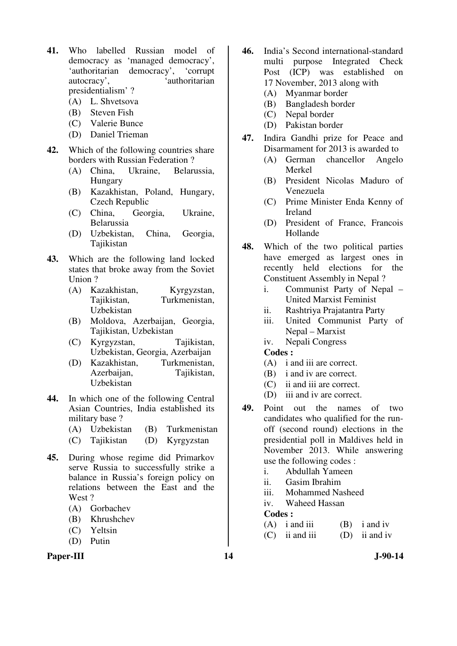- **41.** Who labelled Russian model of democracy as 'managed democracy', 'authoritarian democracy', 'corrupt autocracy', 'authoritarian presidentialism' ?
	- (A) L. Shvetsova
	- (B) Steven Fish
	- (C) Valerie Bunce
	- (D) Daniel Trieman
- **42.** Which of the following countries share borders with Russian Federation ?
	- (A) China, Ukraine, Belarussia, Hungary
	- (B) Kazakhistan, Poland, Hungary, Czech Republic
	- (C) China, Georgia, Ukraine, Belarussia
	- (D) Uzbekistan, China, Georgia, Tajikistan
- **43.** Which are the following land locked states that broke away from the Soviet Union ?
	- (A) Kazakhistan, Kyrgyzstan, Tajikistan, Turkmenistan, Uzbekistan
	- (B) Moldova, Azerbaijan, Georgia, Tajikistan, Uzbekistan
	- (C) Kyrgyzstan, Tajikistan, Uzbekistan, Georgia, Azerbaijan
	- (D) Kazakhistan, Turkmenistan, Tajikistan, Uzbekistan
- **44.** In which one of the following Central Asian Countries, India established its military base ?
	- (A) Uzbekistan (B) Turkmenistan
	- (C) Tajikistan (D) Kyrgyzstan
- **45.** During whose regime did Primarkov serve Russia to successfully strike a balance in Russia's foreign policy on relations between the East and the West ?
	- (A) Gorbachev
	- (B) Khrushchev
	- (C) Yeltsin
	- (D) Putin

#### Paper-III 14 J-90-14

- **46.** India's Second international-standard multi purpose Integrated Check Post (ICP) was established on 17 November, 2013 along with
	- (A) Myanmar border
	- (B) Bangladesh border
	- (C) Nepal border
	- (D) Pakistan border
- **47.** Indira Gandhi prize for Peace and Disarmament for 2013 is awarded to
	- (A) German chancellor Angelo Merkel
	- (B) President Nicolas Maduro of Venezuela
	- (C) Prime Minister Enda Kenny of Ireland
	- (D) President of France, Francois Hollande
- **48.** Which of the two political parties have emerged as largest ones in recently held elections for the Constituent Assembly in Nepal ?
	- i. Communist Party of Nepal United Marxist Feminist
	- ii. Rashtriya Prajatantra Party
	- iii. United Communist Party of Nepal – Marxist
	- iv. Nepali Congress

#### **Codes :**

- (A) i and iii are correct.
- (B) i and iv are correct.
- (C) ii and iii are correct.
- (D) iii and iv are correct.
- **49.** Point out the names of two candidates who qualified for the runoff (second round) elections in the presidential poll in Maldives held in November 2013. While answering use the following codes :
	- i. Abdullah Yameen
	- ii. Gasim Ibrahim
	- iii. Mohammed Nasheed
	- iv. Waheed Hassan

| $(A)$ i and iii  | $(B)$ i and iv  |
|------------------|-----------------|
| $(C)$ ii and iii | $(D)$ ii and iv |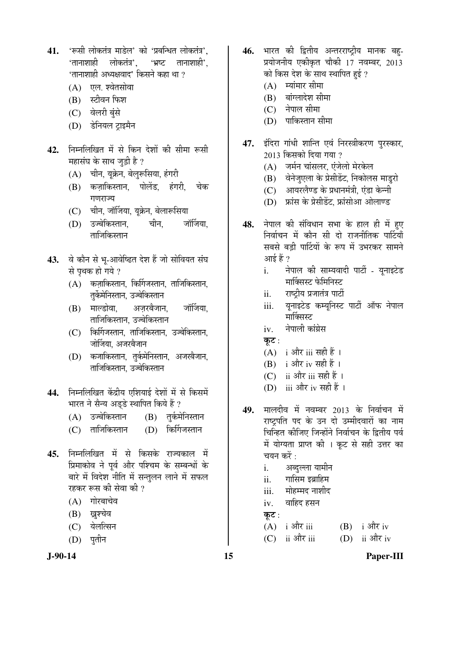- 41. 'रूसी लोकतंत्र माडेल' को 'प्रबन्धित लोकतंत्र', 'तानाशाही लोकतंत्र', 'भ्रष्ट तानाशाही', 'तानाशाही अध्यक्षवाद' किसने कहा था ?
	- $(A)$  एल. श्वेतसोवा
	- (B) स्टीवन फिश
	- (C) वेलरी बुंसे
	- (D) डेनियल टाइमैन
- 42. निम्नलिखित में से किन देशों की सीमा रूसी महासंघ के साथ जड़ी है ?
	- $(A)$  घीन, युक्रेन, बेलुरूसिया, हंगरी
	- (B) कजाकिस्तान, पोलेंड, हंगरी, चेक गणराज्य
	- (C) चीन, जॉर्जिया, यूक्रेन, बेलारूसिया
	- (D) उज्बेकिस्तान. चीन, जॉर्जिया, ताजिकिस्तान
- 43. वे कौन से भू-आवेष्ढित देश हैं जो सोवियत संघ से पथक हो गये ?
	- $(A)$  कज़ाकिस्तान, किर्गिजस्तान, ताजिकिस्तान, तुर्केमेनिस्तान, उज्बेकिस्तान
	- (B) माल्डोवा, अजरबैजान, जॉर्जिया, ताजिकिस्तान, उज्बेकिस्तान
	- $(C)$  किर्गिजस्तान, ताजिकिस्तान, उज्बेकिस्तान, जोर्जिया, अजरबैजान
	- (D) कजाकिस्तान, तुर्कमेनिस्तान, अजरबैजान, ताजिकिस्तान, उज्बेकिस्तान
- 44. निम्नलिखित केंद्रीय एशियाई देशों में से किसमें भारत ने सैन्य अड्डे स्थापित किये हैं ?
	- (A) उज्बेकिस्तान (B) तर्कमेनिस्तान
	- (C) ताजिकिस्तान (D) किर्गिजस्तान
- 45. निम्नलिखित में से किसके राज्यकाल में प्रिमाकोव ने पूर्व और पश्चिम के सम्बन्धों के बारे में विदेश नीति में सन्तुलन लाने में सफल रहकर रूस की सेवा की ?
	- $(A)$  गोरबाचेव
	- (B) ख़ूश्चेव
	- (C) येलत्सिन
	- $(D)$  पतीन
- 46. भारत की द्वितीय अन्तरराष्ट्रीय मानक बह-प्रयोजनीय एकीकृत चौकी 17 नवम्बर, 2013 को किस देश के साथ स्थापित हुई ?
	- $(A)$  स्यांमार सीमा
	- $(B)$  बांग्लादेश सीमा
	- (C) नेपाल सीमा
	- $(D)$  पाकिस्तान सीमा
- 47. इंदिरा गांधी शान्ति एवं निरस्त्रीकरण पुरस्कार, 2013 किसको दिया गया ?
	- $(A)$  जर्मन चांसलर, एंजेलो मेरकेल
	- (B) वेनेजुएला के प्रेसीडेंट, निकोलस माडुरो
	- $(C)$  आयरलैण्ड के प्रधानमंत्री. एंडा केन्नी
	- $(D)$  फ्रांस के प्रेसीडेंट, फ्रांसोआ ओलाण्ड
- 48. नेपाल की संविधान सभा के हाल ही में हए निर्वाचन में कौन सी दो राजनीतिक पार्टियाँ सबसे बड़ी पार्टियों के रूप में उभरकर सामने  $\frac{1}{2}$  $\frac{1}{2}$   $\frac{1}{2}$ 
	- i. नेपाल की साम्यवादी पार्टी यूनाइटेड मार्क्सिस्ट फेमिनिस्ट
	- ii. राष्टीय प्रजातंत्र पार्टी
	- iii. युनाइटेड कम्यूनिस्ट पार्टी ऑफ नेपाल मार्क्सिस्ट
	- iv. नेपाली कांग्रेस
	- कट $:$
	- $(A)$  i और iii सही हैं ।
	- $(B)$  i और iv सही हैं।
	- (C) ii और iii सही हैं ।
	- (D) iii और iv सही हैं ।
- 49. मालदीव में नवम्बर 2013 के निर्वाचन में राष्ट्रपति पद के उन दो उम्मीदवारों का नाम चिन्हित कीजिए जिन्होंने निर्वाचन के द्वितीय पर्व में योग्यता प्राप्त की । कूट से सही उत्तर का चयन करें :
	- i. अब्दुल्ला यामीन
	- $ii.$  गासिम इब्राहिम
	- iii. मोहम्मद नाशीद
	- $iv.$  वाहिद हसन

कूट $:$ 

- $(A)$  i और iii  $(B)$  i और iv
- $(C)$  ii और iii  $(D)$  ii और iv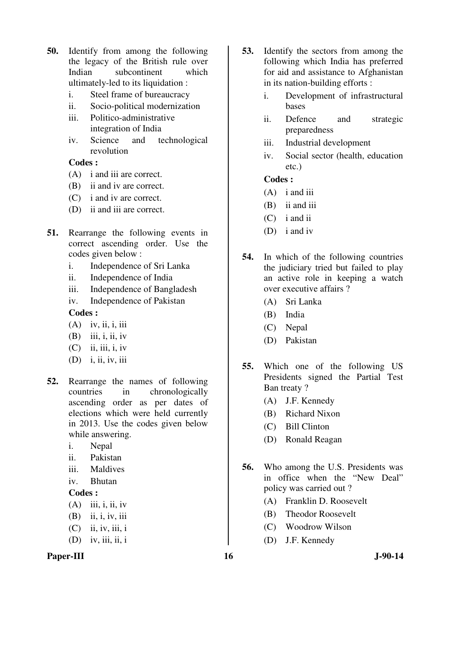- **50.** Identify from among the following the legacy of the British rule over Indian subcontinent which ultimately-led to its liquidation :
	- i. Steel frame of bureaucracy
	- ii. Socio-political modernization
	- iii. Politico-administrative
	- integration of India iv. Science and technological revolution

# **Codes :**

- (A) i and iii are correct.
- (B) ii and iv are correct.
- (C) i and iv are correct.
- (D) ii and iii are correct.
- **51.** Rearrange the following events in correct ascending order. Use the codes given below :
	- i. Independence of Sri Lanka
	- ii. Independence of India
	- iii. Independence of Bangladesh
	- iv. Independence of Pakistan

# **Codes :**

- $(A)$  iv, ii, i, iii
- $(B)$  iii, i, ii, iv
- $(C)$  ii, iii, i, iv
- (D) i, ii, iv, iii
- **52.** Rearrange the names of following countries in chronologically ascending order as per dates of elections which were held currently in 2013. Use the codes given below while answering.
	- i. Nepal
	- ii. Pakistan
	- iii. Maldives
	- iv. Bhutan

# **Codes :**

- $(A)$  iii, i, ii, iv
- (B) ii, i, iv, iii
- $(C)$  ii, iv, iii, i
- $(D)$  iv, iii, ii, i

# Paper-III 16 J-90-14

- **53.** Identify the sectors from among the following which India has preferred for aid and assistance to Afghanistan in its nation-building efforts :
	- i. Development of infrastructural bases
	- ii. Defence and strategic preparedness
	- iii. Industrial development
	- iv. Social sector (health, education etc.)

- (A) i and iii
- (B) ii and iii
- (C) i and ii
- (D) i and iv
- **54.** In which of the following countries the judiciary tried but failed to play an active role in keeping a watch over executive affairs ?
	- (A) Sri Lanka
	- (B) India
	- (C) Nepal
	- (D) Pakistan
- **55.** Which one of the following US Presidents signed the Partial Test Ban treaty ?
	- (A) J.F. Kennedy
	- (B) Richard Nixon
	- (C) Bill Clinton
	- (D) Ronald Reagan
- **56.** Who among the U.S. Presidents was in office when the "New Deal" policy was carried out ?
	- (A) Franklin D. Roosevelt
	- (B) Theodor Roosevelt
	- (C) Woodrow Wilson
	- (D) J.F. Kennedy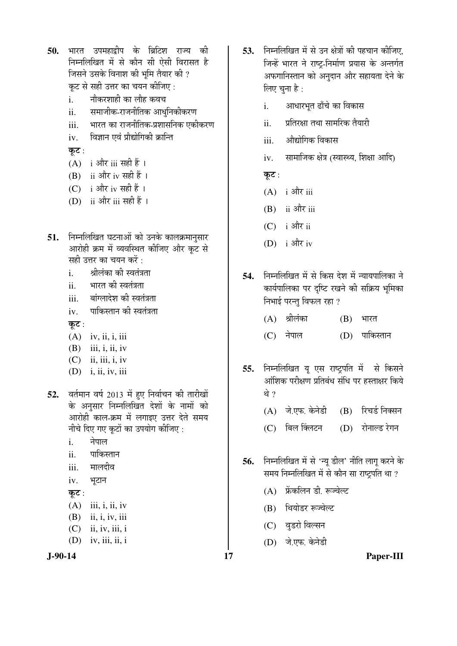50. भारत उपमहाद्वीप के ब्रिटिश राज्य की निम्नलिखित में से कौन सी ऐसी विरासत है जिसने उसके विनाश की भूमि तैयार की ? कूट से सही उत्तर का चयन कीजिए :

- i. नौकरशाही का लौह कवच
- ii. समाजीक-राजनीतिक आधुनिकीकरण
- iii. भारत का राजनीतिक-प्रशासनिक एकीकरण
- iv. विज्ञान एवं प्रौद्योगिकी क्रान्ति

कूट:

- $(A)$  i और iii सही हैं।
- (B) ii और iv सही हैं।
- (C) i और iv सही हैं।
- (D) ii और iii सही हैं ।
- 51. निम्नलिखित घटनाओं को उनके कालक्रमानुसार आरोही क्रम में व्यवस्थित कीजिए और कट से सही उत्तर का चयन करें :
	- i. श्रीलंका की स्वतंत्रता
	- ii. भारत की स्वतंत्रता
	- iii. बांग्लादेश की स्वतंत्रता
	- iv. पाकिस्तान की स्वतंत्रता

कूट $:$ 

- $(A)$  iv, ii, i, iii
- $(B)$  iii, i, ii, iv
- $(C)$  ii, iii, i, iv
- (D) i, ii, iv, iii
- 52. वर्तमान वर्ष 2013 में हुए निर्वाचन की तारीखों के अनुसार निम्नलिखित देशों के नामों को आरोही काल-क्रम में लगाइए उत्तर देते समय नीचे दिए गए कूटों का उपयोग कीजिए :
	- i. नेपाल
	- ii. पाकिस्तान
	- iii. मालदीव
	- iv. भूटान

# कूट $:$

 $(A)$  iii, i, ii, iv

- (B) ii, i, iv, iii
- $(C)$  ii, iv, iii, i
- $(D)$  iv, iii, ii, i



- 53. Fiम्नलिखित में से उन क्षेत्रों की पहचान कीजिए. जिन्हें भारत ने राष्ट्-निर्माण प्रयास के अन्तर्गत अफगानिस्तान को अनुदान और सहायता देने के लिए चुना है:
	- i. आधारभुत ढाँचे का विकास
	- ii. प्रतिरक्षा तथा सामरिक तैयारी
	- iii. औद्योगिक विकास
	- iv. सामाजिक क्षेत्र (स्वास्थ्य, शिक्षा आदि)

कूट :

- $(A)$  i और iii
- $(B)$  ii और iii
- $(C)$  i और ii
- $(D)$  i और iv
- 54. निम्नलिखित में से किस देश में न्यायपालिका ने कार्यपालिका पर दृष्टि रखने की सक्रिय भूमिका निभाई परन्तु विफल रहा ?
	- (A) श्रीलंका (B) भारत
	- (C) नेपाल (D) पाकिस्तान
- 55. निम्नलिखित यु एस राष्ट्रपति में से किसने ऑशिक परीक्षण प्रतिबंध संधि पर हस्ताक्षर किये थे ?
	- (A) जे.एफ. केनेडी (B) रिचर्ड निक्सन
	- (C) बिल क्लिंटन (D) रोनाल्ड रेगन
- 56. निम्नलिखित में से 'न्यू डील' नीति लागू करने के समय निम्नलिखित में से कौन सा राष्ट्रपति था ?
	- (A) फ्रेंकलिन डी. रूज्वेल्ट
	- (B) थियोडर रूज्वेल्ट
	- (C) वुडरो विल्सन
	- (D) जे.एफ. केनेडी

**J-90-14 17 Paper-III**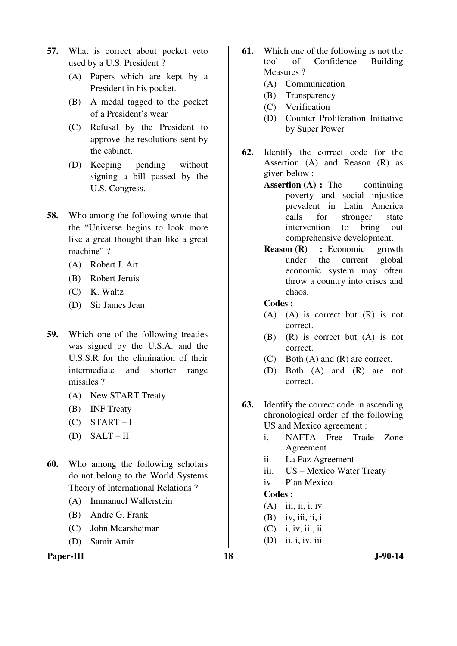- **57.** What is correct about pocket veto used by a U.S. President ?
	- (A) Papers which are kept by a President in his pocket.
	- (B) A medal tagged to the pocket of a President's wear
	- (C) Refusal by the President to approve the resolutions sent by the cabinet.
	- (D) Keeping pending without signing a bill passed by the U.S. Congress.
- **58.** Who among the following wrote that the "Universe begins to look more like a great thought than like a great machine"?
	- (A) Robert J. Art
	- (B) Robert Jeruis
	- (C) K. Waltz
	- (D) Sir James Jean
- **59.** Which one of the following treaties was signed by the U.S.A. and the U.S.S.R for the elimination of their intermediate and shorter range missiles ?
	- (A) New START Treaty
	- (B) INF Treaty
	- $(C)$  START-I
	- (D)  $SALT II$
- **60.** Who among the following scholars do not belong to the World Systems Theory of International Relations ?
	- (A) Immanuel Wallerstein
	- (B) Andre G. Frank
	- (C) John Mearsheimar
	- (D) Samir Amir

# Paper-III 18 J-90-14

- **61.** Which one of the following is not the tool of Confidence Building Measures ?
	- (A) Communication
	- (B) Transparency
	- (C) Verification
	- (D) Counter Proliferation Initiative by Super Power
- **62.** Identify the correct code for the Assertion (A) and Reason (R) as given below :
	- **Assertion (A) :** The continuing poverty and social injustice prevalent in Latin America calls for stronger state intervention to bring out comprehensive development.
	- **Reason (R) :** Economic growth under the current global economic system may often throw a country into crises and chaos.
	- **Codes :**
	- (A) (A) is correct but (R) is not correct.
	- (B) (R) is correct but (A) is not correct.
	- (C) Both (A) and (R) are correct.
	- (D) Both (A) and (R) are not correct.
- **63.** Identify the correct code in ascending chronological order of the following US and Mexico agreement :
	- i. NAFTA Free Trade Zone Agreement
	- ii. La Paz Agreement
	- iii. US Mexico Water Treaty
	- iv. Plan Mexico

- $(A)$  iii, ii, i, iv
- $(B)$  iv, iii, ii, i
- (C) i, iv, iii, ii
- (D) ii, i, iv, iii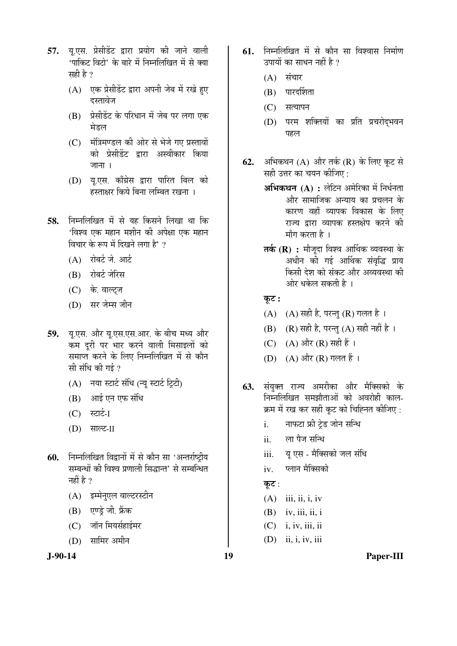- 57. य.एस. प्रेसीडेंट द्वारा प्रयोग की जाने वाली  $^4$ पाकिट विटो $^3$  के बारे में निम्नलिखित में से क्या सही है ?
	- (A) एक प्रेसीडेंट द्वारा अपनी जेब में रखे हुए दस्तावेज
	- (B) प्रेसीडेंट के परिधान में जेब पर लगा एक मेडल
	- (C) मंत्रिमण्डल की ओर से भेजे गए प्रस्तावों को प्रेसीडेंट द्वारा अस्वीकार किया जाना $\overline{1}$ ।
	- (D) य.एस. काँग्रेस द्वारा पारित बिल को हस्ताक्षर किये बिना लम्बित रखना ।
- **58.** निम्नलिखित में से यह किसने लिखा था कि 'विश्व एक महान मशीन की अपेक्षा एक महान विचार के रूप में दिखने लगा है' ?
	- $(A)$  रोबर्ट जे. आर्ट
	- (B) रोबर्ट जेरिस
	- (C) के. वाल्टज
	- (D) सर जेम्स जीन
- 59. यू.एस. और यू.एस.एस.आर. के बीच मध्य और कम दूरी पर भार करने वाली मिसाइलों को समाप्त करने के लिए निम्नलिखित में से कौन सी संधि की गई ?
	- $(A)$  नया स्टार्ट संधि (न्यू स्टार्ट ट्रिटी)
	- $(B)$  आई एन एफ संधि
	- $(C)$  स्टार्ट-I
	- (D) साल्ट-II
- 60. निम्नलिखित विद्वानों में से कौन सा 'अन्तर्राष्ट्रीय सम्बन्धों की विश्व प्रणाली सिद्धान्त' से सम्बन्धित नहीं है ?
	- (A) इम्मेनुएल वाल्टरस्टीन
	- (B) एण्डे जी. फ्रेंक
	- $(C)$  जॉन मियर्सहाईमर
	- (D) सामिर अमीन



- **61. निम्नलिखित में से कौन सा विश्वास निर्माण** उपायों का साधन नहीं है  $\overline{v}$ 
	- $(A)$  संचार
	- $(B)$  पारदर्शिता
	- (C) सत्यापन
	- (D) परम शक्तियों का प्रति प्रचरोद्भवन पहल
- **62.** अभिकथन (A) और तर्क (R) के लिए कूट से सही उत्तर का चयन कीजिए:
	- **अभिकथन (A) :** लेटिन अमेरिका में निर्धनता ओर सामाजिक अन्याय का प्रचलन के कारण वहाँ व्यापक विकास के लिए राज्य द्रारा व्यापक हस्तक्षेप करने की  $\tilde{\mathbf{H}}$ गाँग करता है ।
	- **तर्क (R) :** मौजूदा विश्व आर्थिक व्यवस्था के अधीन की गई आर्थिक संवृद्धि प्राय किसी देश को संकट और अव्यवस्था की ओर धकेल सकती है ।
	- $\overline{\phi}$ :
	- $(A)$   $(A)$  सही है, परन्तु  $(R)$  गलत है।
	- (B) (R) सही है, परन्तु (A) सही नहीं है।
	- (C)  $(A)$  और  $(R)$  सही हैं।
	- (D) (A) और (R) गलत हैं।
- **63.** संयुक्त राज्य अमरीका और मैक्सिको के निम्नलिखित समझौताओं को अवरोही काल-क्रम में रख कर सही कूट को चिह्नित कीजिए :
	- i. नाफटा फ्री टेड जोन सन्धि
	- ii. ला पैज सन्धि
	- iii. यु एस मैक्सिको जल संधि
	- iv. प्लान मैक्सिको
	- कुट $:$
	- $(A)$  iii, ii, i, iv
	- $(B)$  iv, iii, ii, i
	- (C) i, iv, iii, ii
	- (D) ii, i, iv, iii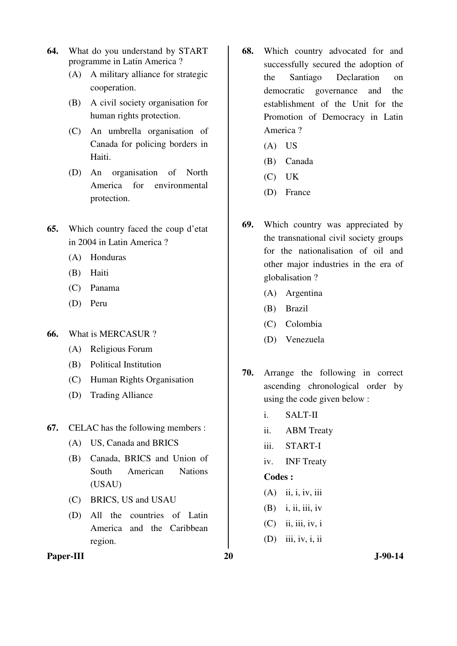- **64.** What do you understand by START programme in Latin America ?
	- (A) A military alliance for strategic cooperation.
	- (B) A civil society organisation for human rights protection.
	- (C) An umbrella organisation of Canada for policing borders in Haiti.
	- (D) An organisation of North America for environmental protection.
- **65.** Which country faced the coup d'etat in 2004 in Latin America ?
	- (A) Honduras
	- (B) Haiti
	- (C) Panama
	- (D) Peru
- **66.** What is MERCASUR ?
	- (A) Religious Forum
	- (B) Political Institution
	- (C) Human Rights Organisation
	- (D) Trading Alliance
- **67.** CELAC has the following members :
	- (A) US, Canada and BRICS
	- (B) Canada, BRICS and Union of South American Nations (USAU)
	- (C) BRICS, US and USAU
	- (D) All the countries of Latin America and the Caribbean region.
- **68.** Which country advocated for and successfully secured the adoption of the Santiago Declaration on democratic governance and the establishment of the Unit for the Promotion of Democracy in Latin America ?
	- (A) US
	- (B) Canada
	- (C) UK
	- (D) France
- **69.** Which country was appreciated by the transnational civil society groups for the nationalisation of oil and other major industries in the era of globalisation ?
	- (A) Argentina
	- (B) Brazil
	- (C) Colombia
	- (D) Venezuela
- **70.** Arrange the following in correct ascending chronological order by using the code given below :
	- i. SALT-II
	- ii. ABM Treaty
	- iii. START-I
	- iv. INF Treaty

- (A) ii, i, iv, iii
- $(B)$  i, ii, iii, iv
- $(C)$  ii, iii, iv, i
- (D) iii, iv, i, ii
- Paper-III 20 J-90-14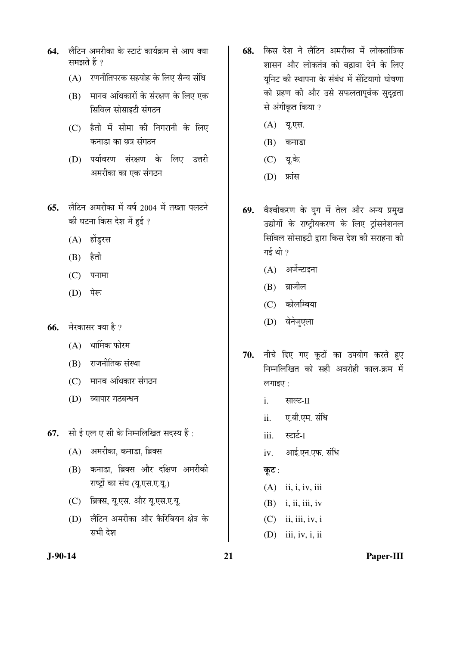- **64**. लैटिन अमरीका के स्टार्ट कार्यक्रम से आप क्या समझते हैं ?
	- $(A)$  रणनीतिपरक सहयोह के लिए सैन्य संधि
	- (B) मानव अधिकारों के संरक्षण के लिए एक सिविल सोसाइटी संगठन
	- $(C)$  हैती में सीमा की निगरानी के लिए कनाडा का छत्र संगठन
	- (D) पर्यावरण संरक्षण के लिए उत्तरी अमरीका का एक संगठन
- 65. लैटिन अमरीका में वर्ष 2004 में तख्ता पलटने की घटना किस देश में हुई ?
	- (A) होंडुरस
	- $(B)$  हैती
	- $(C)$  पनामा
	- (D) पेरू
- **66.** मेरकासर क्या है ?
	- $(A)$  धार्मिक फोरम
	- (B) राजनीतिक संस्था
	- (C) मानव अधिकार संगठन
	- (D) व्यापार गठबन्धन
- **67.** सी ई एल ए सी के निम्नलिखित सदस्य हैं :
	- $(A)$  अमरीका, कनाडा, ब्रिक्स
	- (B) कनाडा, ब्रिक्स और दक्षिण अमरीकी राष्ट्रों का संघ (यू.एस.ए.यू.)
	- (C) ब्रिक्स, यु.एस. और यु.एस.ए.यू.
	- (D) लैटिन अमरीका और कैरिबियन क्षेत्र के सभी देश
- 68. किस देश ने लैटिन अमरीका में लोकतांत्रिक <u>शासन और लोकतंत्र को बढावा देने के लिए</u> युनिट की स्थापना के संबंध में सेंटियागो घोषणा को ग्रहण की और उसे सफलतापूर्वक सुदृढ़ता से अंगीकृत किया ?
	- (A) यू.एस.
	- $(B)$  कनाडा
	- (C) यू.के.
	- (D) फ्रांस
- 69. वेश्वीकरण के युग में तेल और अन्य प्रमुख उद्योगों के राष्ट्रीयकरण के लिए ट्रांसनेशनल <u>सिविल सोसाइटी द्वारा किस देश की सराहना की</u> गई थी $\gamma$ 
	- $(A)$  अर्जेन्टाइना
	- $(B)$  ब्राजील
	- (C) कोलम्बिया
	- (D) वेनेजुएला
- 70. नीचे दिए गए कूटों का उपयोग करते हुए <u>निम्नलिखित को सही अवरोही काल-क्रम में</u>  $m$ लगाइए $\cdot$ :
	- i. साल्ट-II
	- ii. एबी.एम. संधि
	- iii. स्टार्ट-I
	- iv. आई.एन.एफ. संधि
	- कूट:
	- (A) ii, i, iv, iii
	- $(B)$  i, ii, iii, iv
	- $(C)$  ii, iii, iv, i
	- (D) iii, iv, i, ii

**J-90-14 21 Paper-III**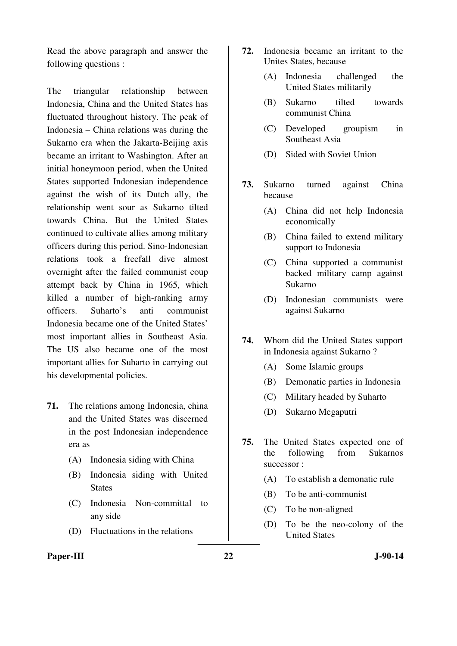Read the above paragraph and answer the following questions :

The triangular relationship between Indonesia, China and the United States has fluctuated throughout history. The peak of Indonesia – China relations was during the Sukarno era when the Jakarta-Beijing axis became an irritant to Washington. After an initial honeymoon period, when the United States supported Indonesian independence against the wish of its Dutch ally, the relationship went sour as Sukarno tilted towards China. But the United States continued to cultivate allies among military officers during this period. Sino-Indonesian relations took a freefall dive almost overnight after the failed communist coup attempt back by China in 1965, which killed a number of high-ranking army officers. Suharto's anti communist Indonesia became one of the United States' most important allies in Southeast Asia. The US also became one of the most important allies for Suharto in carrying out his developmental policies.

- **71.** The relations among Indonesia, china and the United States was discerned in the post Indonesian independence era as
	- (A) Indonesia siding with China
	- (B) Indonesia siding with United **States**
	- (C) Indonesia Non-committal to any side
	- (D) Fluctuations in the relations
- Paper-III 322 J-90-14
- **72.** Indonesia became an irritant to the Unites States, because
	- (A) Indonesia challenged the United States militarily
	- (B) Sukarno tilted towards communist China
	- (C) Developed groupism in Southeast Asia
	- (D) Sided with Soviet Union
- **73.** Sukarno turned against China because
	- (A) China did not help Indonesia economically
	- (B) China failed to extend military support to Indonesia
	- (C) China supported a communist backed military camp against Sukarno
	- (D) Indonesian communists were against Sukarno
- **74.** Whom did the United States support in Indonesia against Sukarno ?
	- (A) Some Islamic groups
	- (B) Demonatic parties in Indonesia
	- (C) Military headed by Suharto
	- (D) Sukarno Megaputri
- **75.** The United States expected one of the following from Sukarnos successor :
	- (A) To establish a demonatic rule
	- (B) To be anti-communist
	- (C) To be non-aligned
	- (D) To be the neo-colony of the United States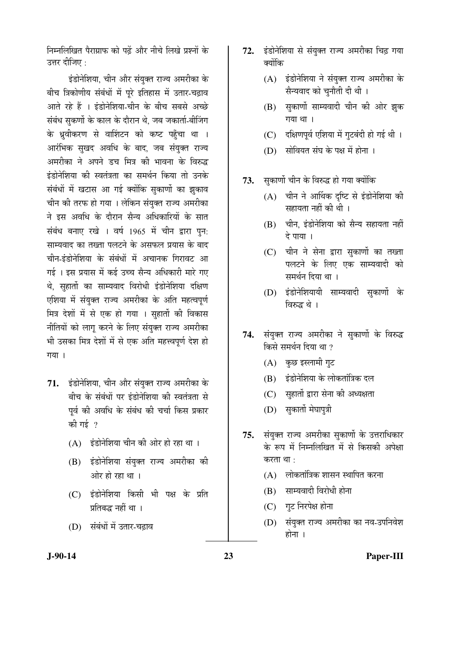निम्नलिखित पैराग्राफ को पढें और नीचे लिखे प्रश्नों के उत्तर दीजिए  $\cdot$ 

इंडोनेशिया, चीन और संयुक्त राज्य अमरीका के बीच त्रिकोणीय संबंधों में पूरे इतिहास में उतार-चढ़ाव आते रहे हैं । इंडोनेशिया-चीन के बीच सबसे अच्छे संबंध सकर्णो के काल के दौरान थे. जब जकार्ता-बीजिंग के ध्रवीकरण से वाशिंटन को कष्ट पहुँचा था । आरंभिक सुखद अवधि के बाद, जब संयुक्त राज्य अमरीका ने अपने डच मित्र की भावना के विरुद्ध इंडोनेशिया की स्वतंत्रता का समर्थन किया तो उनके संबंधों में खटास आ गई क्योंकि सुकार्णो का झकाव चीन की तरफ हो गया । लेकिन संयुक्त राज्य अमरीका ने इस अवधि के दौरान सैन्य अधिकारियों के सात संबंध बनाए रखे । वर्ष 1965 में चीन द्वारा पन: साम्यवाद का तख्ता पलटने के असफल प्रयास के बाद चीन-इंडोनेशिया के संबंधों में अचानक गिरावट आ गई । इस प्रयास में कई उच्च सैन्य अधिकारी मारे गए थे. सहार्तो का साम्यवाद विरोधी इंडोनेशिया दक्षिण एशिया में संयुक्त राज्य अमरीका के अति महत्वपूर्ण मित्र देशों में से एक हो गया । सुहार्तो की विकास नीतियों को लागू करने के लिए संयुक्त राज्य अमरीका भी उसका मित्र देशों में से एक अति महत्त्वपर्ण देश हो  $\overline{\eta}$ या।

- 71. इंडोनेशिया, चीन और संयुक्त राज्य अमरीका के बीच के संबंधों पर इंडोनेशिया की स्वतंत्रता से पूर्व की अवधि के संबंध की चर्चा किस प्रकार की गई $_2$ 
	- $(A)$  इंडोनेशिया चीन की ओर हो रहा था ।
	- (B) इंडोनेशिया संयुक्त राज्य अमरीका की ओर हो रहा था ।
	- (C) इंडोनेशिया किसी भी पक्ष के प्रति प्रतिबद्ध नहीं था ।
	- (D) संबंधों में उतार-चढाव
- 72. इंडोनेशिया से संयुक्त राज्य अमरीका चिढ़ गया क्योंकि
	- (A) इंडोनेशिया ने संयुक्त राज्य अमरीका के सैन्यवाद को चुनौती दी थी ।
	- (B) सुकार्णो साम्यवादी चीन की ओर झुक  $\eta$ या था।
	- (C) दक्षिणपूर्व एशिया में गुटबंदी हो गई थी।
	- (D) सोवियत संघ के पक्ष में होना ।
- 73. सकार्णो चीन के विरुद्ध हो गया क्योंकि
	- $(A)$  चीन ने आर्थिक दृष्टि से इंडोनेशिया की सहायता नहीं की थी ।
	- $(B)$  चीन, इंडोनेशिया को सैन्य सहायता नहीं दे पाया ।
	- (C) चीन ने सेना द्वारा सुकार्णो का तख्ता पलटने के लिए एक साम्यवादी को समर्थन दिया था ।
	- (D) इंडोनेशियायी साम्यवादी सुकार्णो के विरुद्ध थे ।
- 74. संयुक्त राज्य अमरीका ने सुकार्णो के विरुद्ध किसे समर्थन दिया था ?
	- (A) कुछ इस्लामी गुट
	- $(B)$ ंडंडोनेशिया के लोकतांत्रिक दल
	- (C) सुहार्तो द्वारा सेना की अध्यक्षता
	- (D) सुकार्तो मेघापुत्री
- 75. संयुक्त राज्य अमरीका सुकार्णो के उत्तराधिकार के रूप में निम्नलिखित में से किसकी अपेक्षा करता था $\cdot$ 
	- $(A)$  लोकतांत्रिक शासन स्थापित करना
	- (B) साम्यवादी विरोधी होना
	- (C) गुट निरपेक्ष होना
	- (D) संयुक्त राज्य अमरीका का नव-उपनिवेश होना $\perp$

**J-90-14 23 Paper-III**